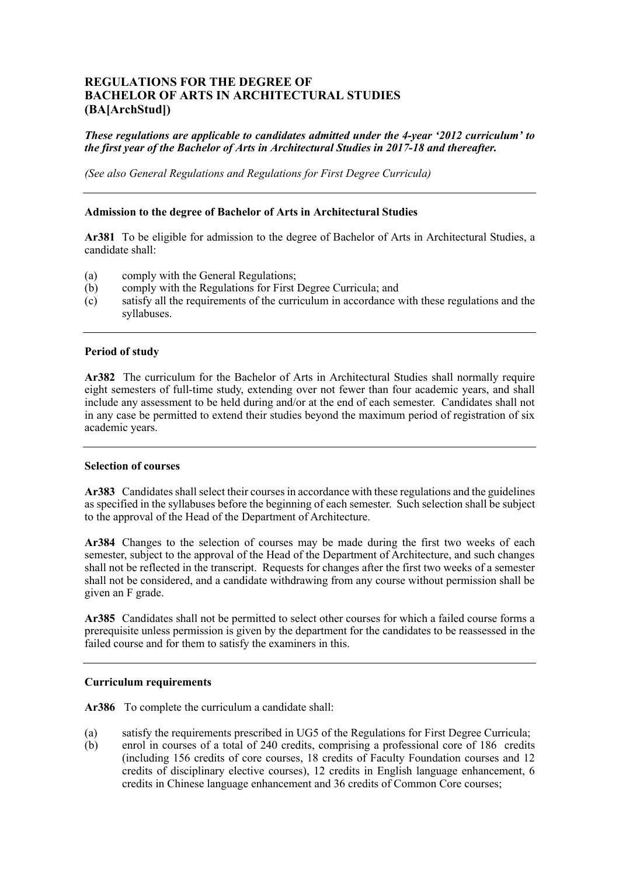# **REGULATIONS FOR THE DEGREE OF BACHELOR OF ARTS IN ARCHITECTURAL STUDIES (BA[ArchStud])**

## *These regulations are applicable to candidates admitted under the 4-year '2012 curriculum' to the first year of the Bachelor of Arts in Architectural Studies in 2017-18 and thereafter.*

*(See also General Regulations and Regulations for First Degree Curricula)* 

#### **Admission to the degree of Bachelor of Arts in Architectural Studies**

 **Ar381** To be eligible for admission to the degree of Bachelor of Arts in Architectural Studies, a candidate shall:

- (a) comply with the General Regulations;
- (b) comply with the Regulations for First Degree Curricula; and
- (c) satisfy all the requirements of the curriculum in accordance with these regulations and the syllabuses.

#### **Period of study**

 **Ar382** The curriculum for the Bachelor of Arts in Architectural Studies shall normally require eight semesters of full-time study, extending over not fewer than four academic years, and shall include any assessment to be held during and/or at the end of each semester. Candidates shall not in any case be permitted to extend their studies beyond the maximum period of registration of six academic years.

#### **Selection of courses**

 **Ar383** Candidates shall select their courses in accordance with these regulations and the guidelines as specified in the syllabuses before the beginning of each semester. Such selection shall be subject to the approval of the Head of the Department of Architecture.

 **Ar384** Changes to the selection of courses may be made during the first two weeks of each semester, subject to the approval of the Head of the Department of Architecture, and such changes shall not be reflected in the transcript. Requests for changes after the first two weeks of a semester shall not be considered, and a candidate withdrawing from any course without permission shall be given an F grade.

 **Ar385** Candidates shall not be permitted to select other courses for which a failed course forms a prerequisite unless permission is given by the department for the candidates to be reassessed in the failed course and for them to satisfy the examiners in this.

#### **Curriculum requirements**

**Ar386** To complete the curriculum a candidate shall:

- (a) satisfy the requirements prescribed in UG5 of the Regulations for First Degree Curricula;
- (b) enrol in courses of a total of 240 credits, comprising a professional core of 186 credits (including 156 credits of core courses, 18 credits of Faculty Foundation courses and 12 credits of disciplinary elective courses), 12 credits in English language enhancement, 6 credits in Chinese language enhancement and 36 credits of Common Core courses;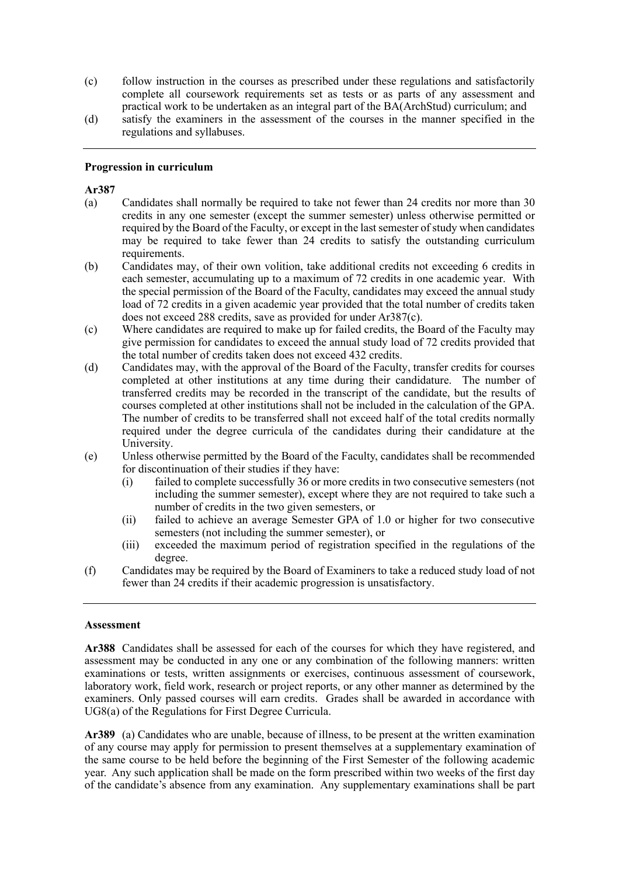- (c) follow instruction in the courses as prescribed under these regulations and satisfactorily complete all coursework requirements set as tests or as parts of any assessment and practical work to be undertaken as an integral part of the BA(ArchStud) curriculum; and
- (d) satisfy the examiners in the assessment of the courses in the manner specified in the regulations and syllabuses.

#### **Progression in curriculum**

#### **Ar387**

- (a) Candidates shall normally be required to take not fewer than 24 credits nor more than 30 credits in any one semester (except the summer semester) unless otherwise permitted or required by the Board of the Faculty, or except in the last semester of study when candidates may be required to take fewer than 24 credits to satisfy the outstanding curriculum requirements.
- requirements.<br>
(b) Candidates may, of their own volition, take additional credits not exceeding 6 credits in each semester, accumulating up to a maximum of 72 credits in one academic year. With the special permission of the Board of the Faculty, candidates may exceed the annual study load of 72 credits in a given academic year provided that the total number of credits taken does not exceed 288 credits, save as provided for under Ar387(c).
- (c) Where candidates are required to make up for failed credits, the Board of the Faculty may give permission for candidates to exceed the annual study load of 72 credits provided that the total number of credits taken does not exceed 432 credits.
- (d) Candidates may, with the approval of the Board of the Faculty, transfer credits for courses completed at other institutions at any time during their candidature. The number of transferred credits may be recorded in the transcript of the candidate, but the results of courses completed at other institutions shall not be included in the calculation of the GPA. The number of credits to be transferred shall not exceed half of the total credits normally required under the degree curricula of the candidates during their candidature at the University.
- (e) Unless otherwise permitted by the Board of the Faculty, candidates shall be recommended for discontinuation of their studies if they have:
	- (i) failed to complete successfully 36 or more credits in two consecutive semesters (not including the summer semester), except where they are not required to take such a number of credits in the two given semesters, or
	- (ii) failed to achieve an average Semester GPA of 1.0 or higher for two consecutive semesters (not including the summer semester), or
	- (iii) exceeded the maximum period of registration specified in the regulations of the degree.
- Candidates may be required by the Board of Examiners to take a reduced study load of not fewer than 24 credits if their academic progression is unsatisfactory.

#### **Assessment**

 **Ar388** Candidates shall be assessed for each of the courses for which they have registered, and examinations or tests, written assignments or exercises, continuous assessment of coursework, laboratory work, field work, research or project reports, or any other manner as determined by the examiners. Only passed courses will earn credits. Grades shall be awarded in accordance with UG8(a) of the Regulations for First Degree Curricula. assessment may be conducted in any one or any combination of the following manners: written

 **Ar389** (a) Candidates who are unable, because of illness, to be present at the written examination of any course may apply for permission to present themselves at a supplementary examination of the same course to be held before the beginning of the First Semester of the following academic year. Any such application shall be made on the form prescribed within two weeks of the first day of the candidate's absence from any examination. Any supplementary examinations shall be part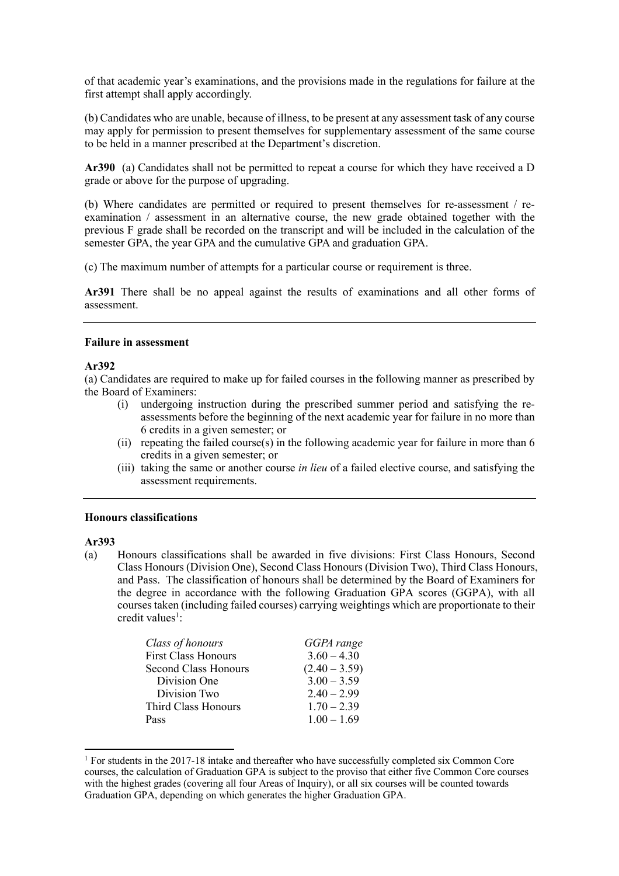of that academic year's examinations, and the provisions made in the regulations for failure at the first attempt shall apply accordingly.

 (b) Candidates who are unable, because of illness, to be present at any assessment task of any course may apply for permission to present themselves for supplementary assessment of the same course to be held in a manner prescribed at the Department's discretion.

 **Ar390** (a) Candidates shall not be permitted to repeat a course for which they have received a D grade or above for the purpose of upgrading.

 (b) Where candidates are permitted or required to present themselves for re-assessment / re- examination / assessment in an alternative course, the new grade obtained together with the previous F grade shall be recorded on the transcript and will be included in the calculation of the semester GPA, the year GPA and the cumulative GPA and graduation GPA.

(c) The maximum number of attempts for a particular course or requirement is three.

 **Ar391** There shall be no appeal against the results of examinations and all other forms of assessment.

#### **Failure in assessment**

#### **Ar392**

 (a) Candidates are required to make up for failed courses in the following manner as prescribed by the Board of Examiners:

- assessments before the beginning of the next academic year for failure in no more than (i) undergoing instruction during the prescribed summer period and satisfying the re-6 credits in a given semester; or
- (ii) repeating the failed course(s) in the following academic year for failure in more than 6 credits in a given semester; or
- (iii) taking the same or another course *in lieu* of a failed elective course, and satisfying the assessment requirements.

#### **Honours classifications**

#### **Ar393**

l

 (a) Honours classifications shall be awarded in five divisions: First Class Honours, Second Class Honours (Division One), Second Class Honours (Division Two), Third Class Honours, and Pass. The classification of honours shall be determined by the Board of Examiners for the degree in accordance with the following Graduation GPA scores (GGPA), with all courses taken (including failed courses) carrying weightings which are proportionate to their credit values<sup>1</sup>:

| Class of honours            | GGPA range      |
|-----------------------------|-----------------|
| <b>First Class Honours</b>  | $3.60 - 4.30$   |
| <b>Second Class Honours</b> | $(2.40 - 3.59)$ |
| Division One                | $3.00 - 3.59$   |
| Division Two                | $2.40 - 2.99$   |
| Third Class Honours         | $1.70 - 2.39$   |
| Pass                        | $1.00 - 1.69$   |

<sup>&</sup>lt;sup>1</sup> For students in the 2017-18 intake and thereafter who have successfully completed six Common Core courses, the calculation of Graduation GPA is subject to the proviso that either five Common Core courses with the highest grades (covering all four Areas of Inquiry), or all six courses will be counted towards Graduation GPA, depending on which generates the higher Graduation GPA.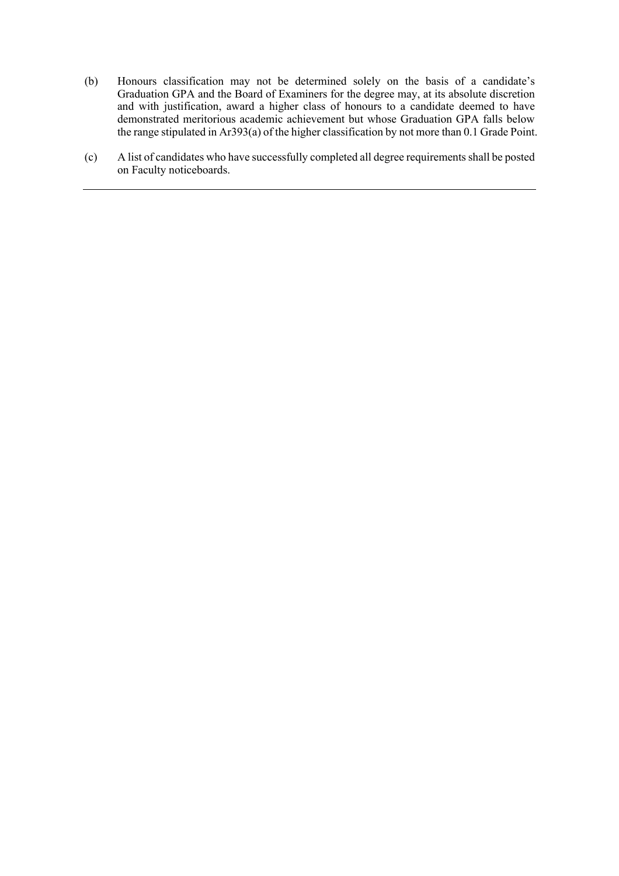- (b) Honours classification may not be determined solely on the basis of a candidate's Graduation GPA and the Board of Examiners for the degree may, at its absolute discretion and with justification, award a higher class of honours to a candidate deemed to have demonstrated meritorious academic achievement but whose Graduation GPA falls below the range stipulated in Ar393(a) of the higher classification by not more than 0.1 Grade Point.
- (c) A list of candidates who have successfully completed all degree requirements shall be posted on Faculty noticeboards.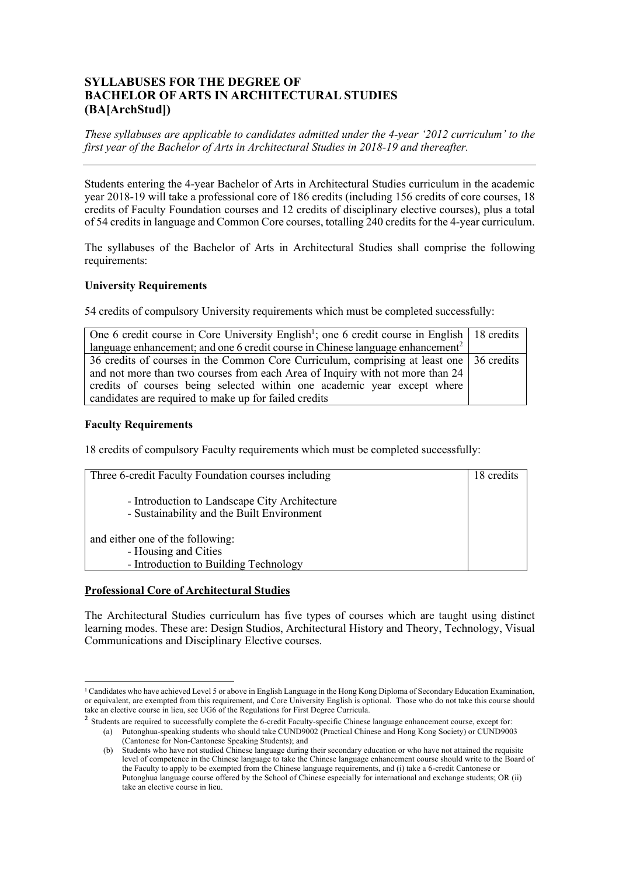# **SYLLABUSES FOR THE DEGREE OF BACHELOR OF ARTS IN ARCHITECTURAL STUDIES (BA[ArchStud])**

 *These syllabuses are applicable to candidates admitted under the 4-year '2012 curriculum' to the first year of the Bachelor of Arts in Architectural Studies in 2018-19 and thereafter.* 

 Students entering the 4-year Bachelor of Arts in Architectural Studies curriculum in the academic year 2018-19 will take a professional core of 186 credits (including 156 credits of core courses, 18 credits of Faculty Foundation courses and 12 credits of disciplinary elective courses), plus a total of 54 credits in language and Common Core courses, totalling 240 credits for the 4-year curriculum.

 The syllabuses of the Bachelor of Arts in Architectural Studies shall comprise the following requirements:

## **University Requirements**

54 credits of compulsory University requirements which must be completed successfully:

| One 6 credit course in Core University English <sup>1</sup> ; one 6 credit course in English 18 credits |  |
|---------------------------------------------------------------------------------------------------------|--|
| language enhancement; and one 6 credit course in Chinese language enhancement <sup>2</sup>              |  |
| 36 credits of courses in the Common Core Curriculum, comprising at least one 36 credits                 |  |
| and not more than two courses from each Area of Inquiry with not more than 24                           |  |
| credits of courses being selected within one academic year except where                                 |  |
| candidates are required to make up for failed credits                                                   |  |

## **Faculty Requirements**

18 credits of compulsory Faculty requirements which must be completed successfully:

| Three 6-credit Faculty Foundation courses including                                         | 18 credits |
|---------------------------------------------------------------------------------------------|------------|
| - Introduction to Landscape City Architecture<br>- Sustainability and the Built Environment |            |
| and either one of the following:                                                            |            |
| - Housing and Cities                                                                        |            |
| - Introduction to Building Technology                                                       |            |

## **Professional Core of Architectural Studies**

 The Architectural Studies curriculum has five types of courses which are taught using distinct learning modes. These are: Design Studios, Architectural History and Theory, Technology, Visual Communications and Disciplinary Elective courses.

l or equivalent, are exempted from this requirement, and Core University English is optional. Those who do not take this course should take an elective course in lieu, see UG6 of the Regulations for First Degree Curricula. <sup>1</sup> Candidates who have achieved Level 5 or above in English Language in the Hong Kong Diploma of Secondary Education Examination,

<sup>&</sup>lt;sup>2</sup> Students are required to successfully complete the 6-credit Faculty-specific Chinese language enhancement course, except for:

 (a) Putonghua-speaking students who should take CUND9002 (Practical Chinese and Hong Kong Society) or CUND9003 (Cantonese for Non-Cantonese Speaking Students); and

 (b) Students who have not studied Chinese language during their secondary education or who have not attained the requisite level of competence in the Chinese language to take the Chinese language enhancement course should write to the Board of Putonghua language course offered by the School of Chinese especially for international and exchange students; OR (ii) the Faculty to apply to be exempted from the Chinese language requirements, and (i) take a 6-credit Cantonese or take an elective course in lieu.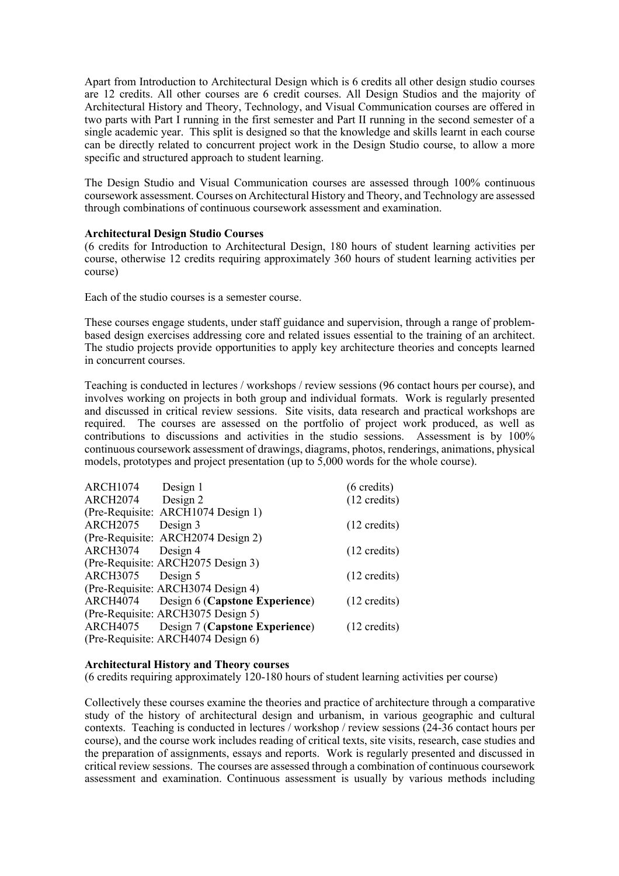Apart from Introduction to Architectural Design which is 6 credits all other design studio courses are 12 credits. All other courses are 6 credit courses. All Design Studios and the majority of Architectural History and Theory, Technology, and Visual Communication courses are offered in two parts with Part I running in the first semester and Part II running in the second semester of a single academic year. This split is designed so that the knowledge and skills learnt in each course can be directly related to concurrent project work in the Design Studio course, to allow a more specific and structured approach to student learning.

 The Design Studio and Visual Communication courses are assessed through 100% continuous coursework assessment. Courses on Architectural History and Theory, and Technology are assessed through combinations of continuous coursework assessment and examination.

#### **Architectural Design Studio Courses**

 (6 credits for Introduction to Architectural Design, 180 hours of student learning activities per course, otherwise 12 credits requiring approximately 360 hours of student learning activities per course)

Each of the studio courses is a semester course.

 These courses engage students, under staff guidance and supervision, through a range of problem- based design exercises addressing core and related issues essential to the training of an architect. The studio projects provide opportunities to apply key architecture theories and concepts learned in concurrent courses.

 Teaching is conducted in lectures / workshops / review sessions (96 contact hours per course), and involves working on projects in both group and individual formats. Work is regularly presented and discussed in critical review sessions. Site visits, data research and practical workshops are required. The courses are assessed on the portfolio of project work produced, as well as contributions to discussions and activities in the studio sessions. Assessment is by 100% continuous coursework assessment of drawings, diagrams, photos, renderings, animations, physical models, prototypes and project presentation (up to 5,000 words for the whole course).

| <b>ARCH1074</b> | Design 1                                | $(6 \text{ credits})$  |
|-----------------|-----------------------------------------|------------------------|
| <b>ARCH2074</b> | Design 2                                | $(12 \text{ credits})$ |
|                 | (Pre-Requisite: ARCH1074 Design 1)      |                        |
| <b>ARCH2075</b> | Design 3                                | $(12 \text{ credits})$ |
|                 | (Pre-Requisite: ARCH2074 Design 2)      |                        |
| <b>ARCH3074</b> | Design 4                                | $(12 \text{ credits})$ |
|                 | (Pre-Requisite: ARCH2075 Design 3)      |                        |
| <b>ARCH3075</b> | Design 5                                | $(12 \text{ credits})$ |
|                 | (Pre-Requisite: ARCH3074 Design 4)      |                        |
|                 | ARCH4074 Design 6 (Capstone Experience) | $(12 \text{ credits})$ |
|                 | (Pre-Requisite: ARCH3075 Design 5)      |                        |
| ARCH4075        | Design 7 (Capstone Experience)          | $(12 \text{ credits})$ |
|                 | (Pre-Requisite: ARCH4074 Design 6)      |                        |

#### **Architectural History and Theory courses**

(6 credits requiring approximately 120-180 hours of student learning activities per course)

 Collectively these courses examine the theories and practice of architecture through a comparative study of the history of architectural design and urbanism, in various geographic and cultural contexts. Teaching is conducted in lectures / workshop / review sessions (24-36 contact hours per course), and the course work includes reading of critical texts, site visits, research, case studies and the preparation of assignments, essays and reports. Work is regularly presented and discussed in critical review sessions. The courses are assessed through a combination of continuous coursework assessment and examination. Continuous assessment is usually by various methods including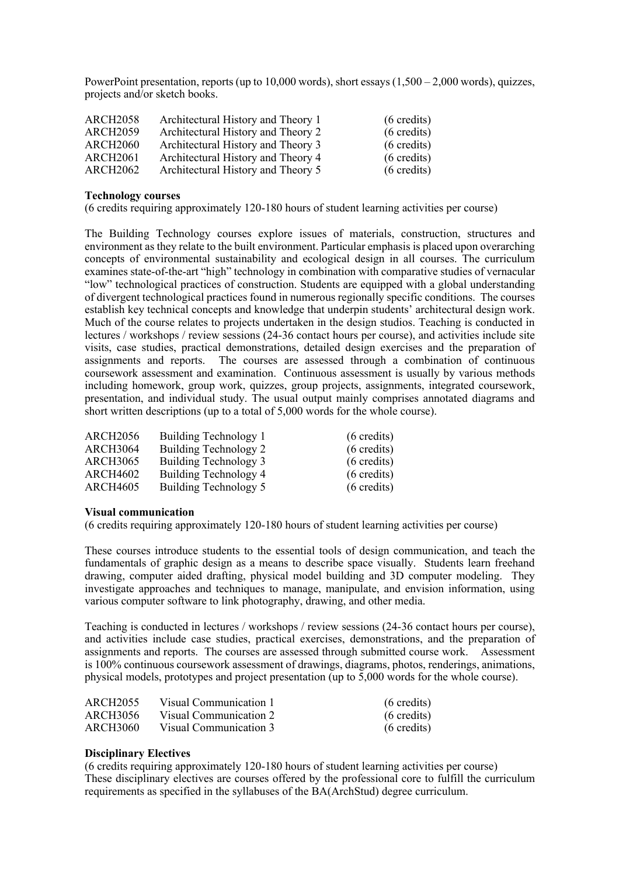PowerPoint presentation, reports (up to 10,000 words), short essays (1,500 – 2,000 words), quizzes, projects and/or sketch books.

| <b>ARCH2058</b> | Architectural History and Theory 1 | $(6 \text{ credits})$ |
|-----------------|------------------------------------|-----------------------|
| <b>ARCH2059</b> | Architectural History and Theory 2 | $(6 \text{ credits})$ |
| <b>ARCH2060</b> | Architectural History and Theory 3 | $(6 \text{ credits})$ |
| <b>ARCH2061</b> | Architectural History and Theory 4 | $(6 \text{ credits})$ |
| <b>ARCH2062</b> | Architectural History and Theory 5 | $(6 \text{ credits})$ |

#### **Technology courses**

(6 credits requiring approximately 120-180 hours of student learning activities per course)

 The Building Technology courses explore issues of materials, construction, structures and environment as they relate to the built environment. Particular emphasis is placed upon overarching concepts of environmental sustainability and ecological design in all courses. The curriculum examines state-of-the-art "high" technology in combination with comparative studies of vernacular "low" technological practices of construction. Students are equipped with a global understanding of divergent technological practices found in numerous regionally specific conditions. The courses establish key technical concepts and knowledge that underpin students' architectural design work. Much of the course relates to projects undertaken in the design studios. Teaching is conducted in lectures / workshops / review sessions (24-36 contact hours per course), and activities include site visits, case studies, practical demonstrations, detailed design exercises and the preparation of assignments and reports. The courses are assessed through a combination of continuous coursework assessment and examination. Continuous assessment is usually by various methods presentation, and individual study. The usual output mainly comprises annotated diagrams and including homework, group work, quizzes, group projects, assignments, integrated coursework, short written descriptions (up to a total of 5,000 words for the whole course).

| <b>ARCH2056</b> | Building Technology 1 | $(6 \text{ credits})$ |
|-----------------|-----------------------|-----------------------|
| <b>ARCH3064</b> | Building Technology 2 | $(6 \text{ credits})$ |
| <b>ARCH3065</b> | Building Technology 3 | $(6 \text{ credits})$ |
| <b>ARCH4602</b> | Building Technology 4 | $(6 \text{ credits})$ |
| <b>ARCH4605</b> | Building Technology 5 | $(6 \text{ credits})$ |

#### **Visual communication**

(6 credits requiring approximately 120-180 hours of student learning activities per course)

 These courses introduce students to the essential tools of design communication, and teach the fundamentals of graphic design as a means to describe space visually. Students learn freehand drawing, computer aided drafting, physical model building and 3D computer modeling. They investigate approaches and techniques to manage, manipulate, and envision information, using various computer software to link photography, drawing, and other media.

 Teaching is conducted in lectures / workshops / review sessions (24-36 contact hours per course), and activities include case studies, practical exercises, demonstrations, and the preparation of assignments and reports. The courses are assessed through submitted course work. Assessment is 100% continuous coursework assessment of drawings, diagrams, photos, renderings, animations, physical models, prototypes and project presentation (up to 5,000 words for the whole course).

| ARCH2055 | Visual Communication 1 | $(6 \text{ credits})$ |
|----------|------------------------|-----------------------|
| ARCH3056 | Visual Communication 2 | $(6 \text{ credits})$ |
| ARCH3060 | Visual Communication 3 | $(6 \text{ credits})$ |

## **Disciplinary Electives**

 (6 credits requiring approximately 120-180 hours of student learning activities per course) These disciplinary electives are courses offered by the professional core to fulfill the curriculum requirements as specified in the syllabuses of the BA(ArchStud) degree curriculum.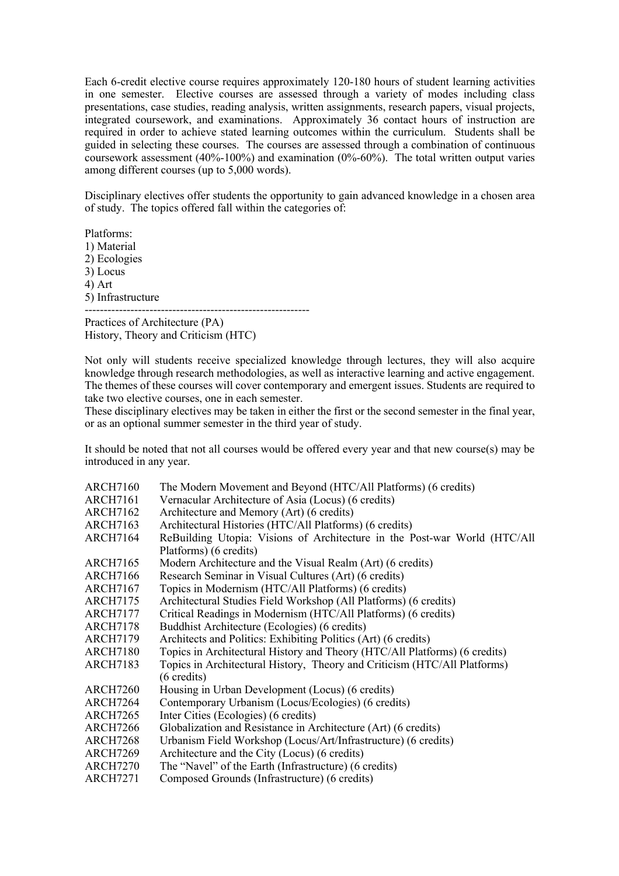Each 6-credit elective course requires approximately 120-180 hours of student learning activities in one semester. Elective courses are assessed through a variety of modes including class integrated coursework, and examinations. Approximately 36 contact hours of instruction are required in order to achieve stated learning outcomes within the curriculum. Students shall be guided in selecting these courses. The courses are assessed through a combination of continuous coursework assessment (40%-100%) and examination (0%-60%). The total written output varies among different courses (up to 5,000 words). presentations, case studies, reading analysis, written assignments, research papers, visual projects,

 Disciplinary electives offer students the opportunity to gain advanced knowledge in a chosen area of study. The topics offered fall within the categories of:

Platforms: 1) Material 2) Ecologies 3) Locus 4) Art 5) Infrastructure

 Practices of Architecture (PA) History, Theory and Criticism (HTC) -----------------------------------------------------------

 Not only will students receive specialized knowledge through lectures, they will also acquire knowledge through research methodologies, as well as interactive learning and active engagement. The themes of these courses will cover contemporary and emergent issues. Students are required to take two elective courses, one in each semester.

 These disciplinary electives may be taken in either the first or the second semester in the final year, or as an optional summer semester in the third year of study.

 It should be noted that not all courses would be offered every year and that new course(s) may be introduced in any year.

| <b>ARCH7160</b> | The Modern Movement and Beyond (HTC/All Platforms) (6 credits)             |
|-----------------|----------------------------------------------------------------------------|
| <b>ARCH7161</b> | Vernacular Architecture of Asia (Locus) (6 credits)                        |
| <b>ARCH7162</b> | Architecture and Memory (Art) (6 credits)                                  |
| <b>ARCH7163</b> | Architectural Histories (HTC/All Platforms) (6 credits)                    |
| <b>ARCH7164</b> | ReBuilding Utopia: Visions of Architecture in the Post-war World (HTC/All  |
|                 | Platforms) (6 credits)                                                     |
| <b>ARCH7165</b> | Modern Architecture and the Visual Realm (Art) (6 credits)                 |
| <b>ARCH7166</b> | Research Seminar in Visual Cultures (Art) (6 credits)                      |
| <b>ARCH7167</b> | Topics in Modernism (HTC/All Platforms) (6 credits)                        |
| ARCH7175        | Architectural Studies Field Workshop (All Platforms) (6 credits)           |
| <b>ARCH7177</b> | Critical Readings in Modernism (HTC/All Platforms) (6 credits)             |
| <b>ARCH7178</b> | Buddhist Architecture (Ecologies) (6 credits)                              |
| <b>ARCH7179</b> | Architects and Politics: Exhibiting Politics (Art) (6 credits)             |
| <b>ARCH7180</b> | Topics in Architectural History and Theory (HTC/All Platforms) (6 credits) |
| <b>ARCH7183</b> | Topics in Architectural History, Theory and Criticism (HTC/All Platforms)  |
|                 | $(6 \text{ credits})$                                                      |
| <b>ARCH7260</b> | Housing in Urban Development (Locus) (6 credits)                           |
| ARCH7264        | Contemporary Urbanism (Locus/Ecologies) (6 credits)                        |
| ARCH7265        | Inter Cities (Ecologies) (6 credits)                                       |
| <b>ARCH7266</b> | Globalization and Resistance in Architecture (Art) (6 credits)             |
| <b>ARCH7268</b> | Urbanism Field Workshop (Locus/Art/Infrastructure) (6 credits)             |
| ARCH7269        | Architecture and the City (Locus) (6 credits)                              |
| <b>ARCH7270</b> | The "Navel" of the Earth (Infrastructure) (6 credits)                      |
| <b>ARCH7271</b> | Composed Grounds (Infrastructure) (6 credits)                              |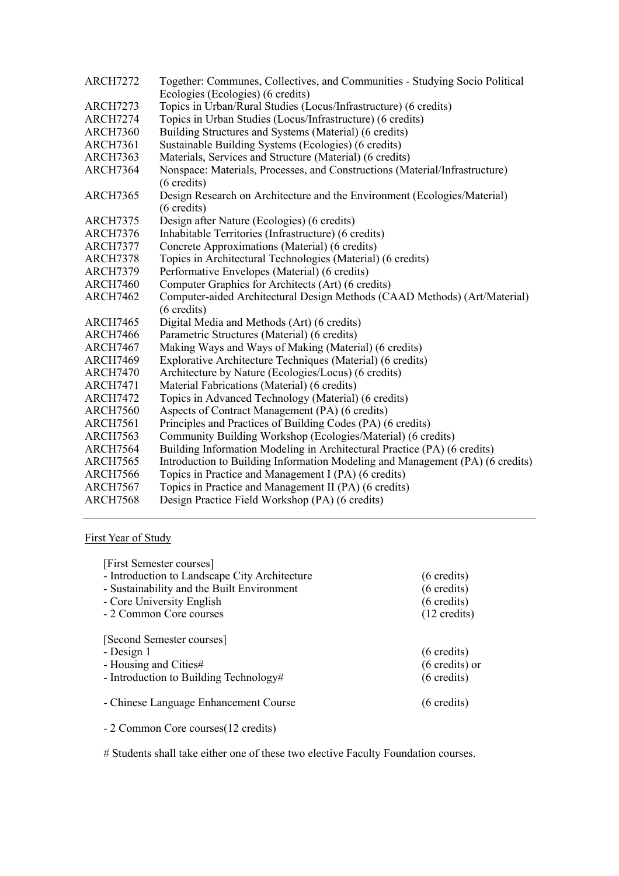| <b>ARCH7272</b> | Together: Communes, Collectives, and Communities - Studying Socio Political   |
|-----------------|-------------------------------------------------------------------------------|
|                 | Ecologies (Ecologies) (6 credits)                                             |
| <b>ARCH7273</b> | Topics in Urban/Rural Studies (Locus/Infrastructure) (6 credits)              |
| <b>ARCH7274</b> | Topics in Urban Studies (Locus/Infrastructure) (6 credits)                    |
| <b>ARCH7360</b> | Building Structures and Systems (Material) (6 credits)                        |
| <b>ARCH7361</b> | Sustainable Building Systems (Ecologies) (6 credits)                          |
| <b>ARCH7363</b> | Materials, Services and Structure (Material) (6 credits)                      |
| <b>ARCH7364</b> | Nonspace: Materials, Processes, and Constructions (Material/Infrastructure)   |
|                 | $(6 \text{ credits})$                                                         |
| <b>ARCH7365</b> | Design Research on Architecture and the Environment (Ecologies/Material)      |
|                 | $(6 \text{ credits})$                                                         |
| <b>ARCH7375</b> | Design after Nature (Ecologies) (6 credits)                                   |
| <b>ARCH7376</b> | Inhabitable Territories (Infrastructure) (6 credits)                          |
| <b>ARCH7377</b> | Concrete Approximations (Material) (6 credits)                                |
| <b>ARCH7378</b> | Topics in Architectural Technologies (Material) (6 credits)                   |
| <b>ARCH7379</b> | Performative Envelopes (Material) (6 credits)                                 |
| <b>ARCH7460</b> | Computer Graphics for Architects (Art) (6 credits)                            |
| <b>ARCH7462</b> | Computer-aided Architectural Design Methods (CAAD Methods) (Art/Material)     |
|                 | $(6 \text{ credits})$                                                         |
| <b>ARCH7465</b> | Digital Media and Methods (Art) (6 credits)                                   |
| <b>ARCH7466</b> | Parametric Structures (Material) (6 credits)                                  |
| <b>ARCH7467</b> | Making Ways and Ways of Making (Material) (6 credits)                         |
| <b>ARCH7469</b> | Explorative Architecture Techniques (Material) (6 credits)                    |
| <b>ARCH7470</b> | Architecture by Nature (Ecologies/Locus) (6 credits)                          |
| <b>ARCH7471</b> | Material Fabrications (Material) (6 credits)                                  |
| <b>ARCH7472</b> | Topics in Advanced Technology (Material) (6 credits)                          |
| <b>ARCH7560</b> | Aspects of Contract Management (PA) (6 credits)                               |
| <b>ARCH7561</b> | Principles and Practices of Building Codes (PA) (6 credits)                   |
| <b>ARCH7563</b> | Community Building Workshop (Ecologies/Material) (6 credits)                  |
| <b>ARCH7564</b> | Building Information Modeling in Architectural Practice (PA) (6 credits)      |
| <b>ARCH7565</b> | Introduction to Building Information Modeling and Management (PA) (6 credits) |
| <b>ARCH7566</b> | Topics in Practice and Management I (PA) (6 credits)                          |
| <b>ARCH7567</b> | Topics in Practice and Management II (PA) (6 credits)                         |
| <b>ARCH7568</b> | Design Practice Field Workshop (PA) (6 credits)                               |

## First Year of Study

| [First Semester courses]                                                                                   |                                                                            |
|------------------------------------------------------------------------------------------------------------|----------------------------------------------------------------------------|
| - Introduction to Landscape City Architecture                                                              | $(6 \text{ credits})$                                                      |
| - Sustainability and the Built Environment                                                                 | $(6 \text{ credits})$                                                      |
| - Core University English                                                                                  | $(6 \text{ credits})$                                                      |
| - 2 Common Core courses                                                                                    | $(12 \text{ credits})$                                                     |
| [Second Semester courses]<br>- Design 1<br>- Housing and Cities#<br>- Introduction to Building Technology# | $(6 \text{ credits})$<br>$(6 \text{ credits})$ or<br>$(6 \text{ credits})$ |
| - Chinese Language Enhancement Course                                                                      | $(6 \text{ credits})$                                                      |

- 2 Common Core courses(12 credits)

# Students shall take either one of these two elective Faculty Foundation courses.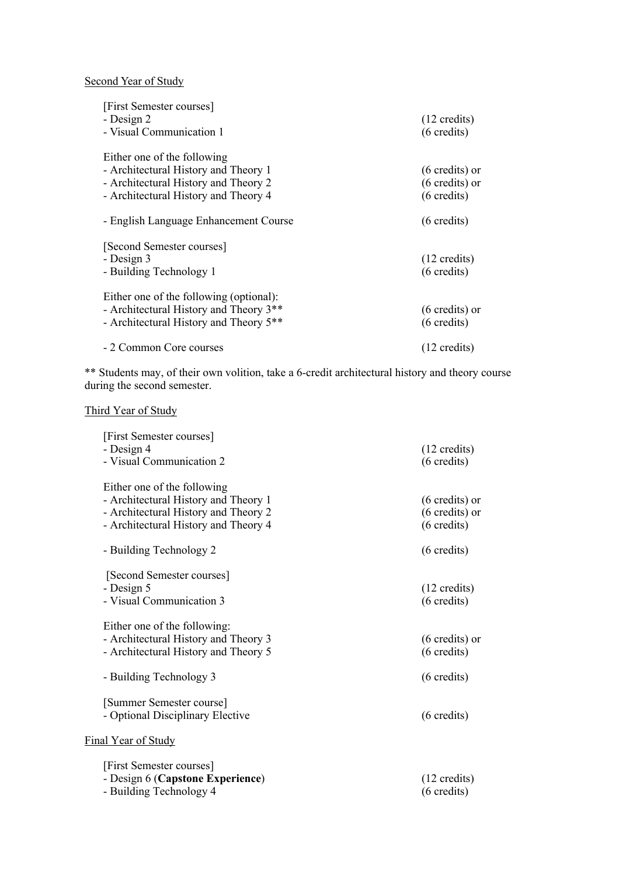Second Year of Study

| [First Semester courses]<br>- Design 2<br>- Visual Communication 1                                                                                  | $(12 \text{ credits})$<br>$(6 \text{ credits})$                               |
|-----------------------------------------------------------------------------------------------------------------------------------------------------|-------------------------------------------------------------------------------|
| Either one of the following<br>- Architectural History and Theory 1<br>- Architectural History and Theory 2<br>- Architectural History and Theory 4 | $(6 \text{ credits})$ or<br>$(6 \text{ credits})$ or<br>$(6 \text{ credits})$ |
| - English Language Enhancement Course                                                                                                               | $(6 \text{ credits})$                                                         |
| [Second Semester courses]<br>- Design 3<br>- Building Technology 1                                                                                  | $(12 \text{ credits})$<br>$(6 \text{ credits})$                               |
| Either one of the following (optional):<br>- Architectural History and Theory 3**<br>- Architectural History and Theory 5 <sup>**</sup>             | $(6 \text{ credits})$ or<br>$(6 \text{ credits})$                             |
| - 2 Common Core courses                                                                                                                             | $(12 \text{ credits})$                                                        |

 \*\* Students may, of their own volition, take a 6-credit architectural history and theory course during the second semester.

#### Third Year of Study

| [First Semester courses]<br>- Design 4<br>- Visual Communication 2                                                                                  | $(12 \text{ credits})$<br>$(6 \text{ credits})$                               |
|-----------------------------------------------------------------------------------------------------------------------------------------------------|-------------------------------------------------------------------------------|
| Either one of the following<br>- Architectural History and Theory 1<br>- Architectural History and Theory 2<br>- Architectural History and Theory 4 | $(6 \text{ credits})$ or<br>$(6 \text{ credits})$ or<br>$(6 \text{ credits})$ |
| - Building Technology 2                                                                                                                             | $(6 \text{ credits})$                                                         |
| [Second Semester courses]<br>- Design 5<br>- Visual Communication 3                                                                                 | $(12 \text{ credits})$<br>$(6 \text{ credits})$                               |
| Either one of the following:<br>- Architectural History and Theory 3<br>- Architectural History and Theory 5                                        | (6 credits) or<br>$(6 \text{ credits})$                                       |
| - Building Technology 3                                                                                                                             | $(6 \text{ credits})$                                                         |
| [Summer Semester course]<br>- Optional Disciplinary Elective                                                                                        | $(6 \text{ credits})$                                                         |
| Final Year of Study                                                                                                                                 |                                                                               |
| [First Semester courses]<br>- Design 6 (Capstone Experience)<br>- Building Technology 4                                                             | $(12 \text{ credits})$<br>$(6 \text{ credits})$                               |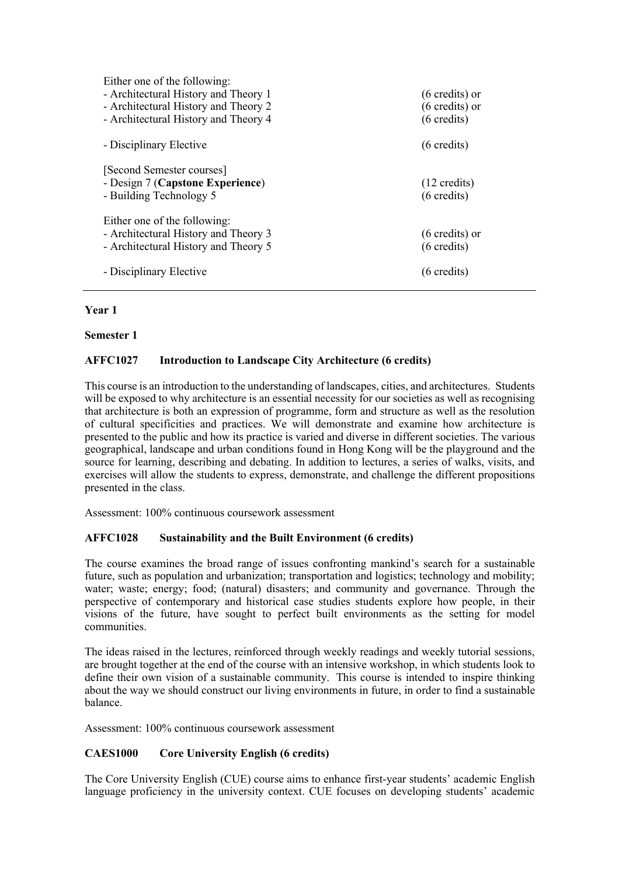| Either one of the following:<br>- Architectural History and Theory 1<br>- Architectural History and Theory 2<br>- Architectural History and Theory 4 | $(6 \text{ credits})$ or<br>$(6 \text{ credits})$ or<br>$(6 \text{ credits})$ |
|------------------------------------------------------------------------------------------------------------------------------------------------------|-------------------------------------------------------------------------------|
| - Disciplinary Elective                                                                                                                              | $(6 \text{ credits})$                                                         |
| [Second Semester courses]<br>- Design 7 (Capstone Experience)<br>- Building Technology 5                                                             | $(12 \text{ credits})$<br>$(6 \text{ credits})$                               |
| Either one of the following:<br>- Architectural History and Theory 3<br>- Architectural History and Theory 5                                         | $(6 \text{ credits})$ or<br>$(6 \text{ credits})$                             |
| - Disciplinary Elective                                                                                                                              | $(6 \text{ credits})$                                                         |

## **Year 1**

## **Semester 1**

## **AFFC1027 Introduction to Landscape City Architecture (6 credits)**

 This course is an introduction to the understanding of landscapes, cities, and architectures. Students will be exposed to why architecture is an essential necessity for our societies as well as recognising that architecture is both an expression of programme, form and structure as well as the resolution of cultural specificities and practices. We will demonstrate and examine how architecture is presented to the public and how its practice is varied and diverse in different societies. The various source for learning, describing and debating. In addition to lectures, a series of walks, visits, and exercises will allow the students to express, demonstrate, and challenge the different propositions geographical, landscape and urban conditions found in Hong Kong will be the playground and the presented in the class.

Assessment: 100% continuous coursework assessment

## **AFFC1028 Sustainability and the Built Environment (6 credits)**

 The course examines the broad range of issues confronting mankind's search for a sustainable future, such as population and urbanization; transportation and logistics; technology and mobility; water; waste; energy; food; (natural) disasters; and community and governance. Through the perspective of contemporary and historical case studies students explore how people, in their visions of the future, have sought to perfect built environments as the setting for model communities

communities.<br>The ideas raised in the lectures, reinforced through weekly readings and weekly tutorial sessions, are brought together at the end of the course with an intensive workshop, in which students look to define their own vision of a sustainable community. This course is intended to inspire thinking about the way we should construct our living environments in future, in order to find a sustainable balance.

Assessment: 100% continuous coursework assessment

# **CAES1000 Core University English (6 credits)**

 The Core University English (CUE) course aims to enhance first-year students' academic English language proficiency in the university context. CUE focuses on developing students' academic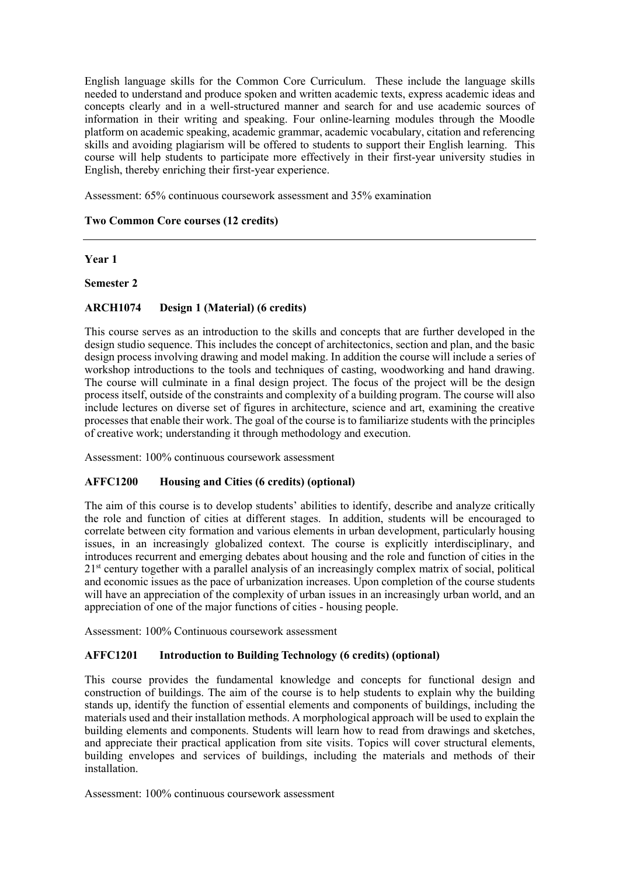English language skills for the Common Core Curriculum. These include the language skills needed to understand and produce spoken and written academic texts, express academic ideas and concepts clearly and in a well-structured manner and search for and use academic sources of information in their writing and speaking. Four online-learning modules through the Moodle skills and avoiding plagiarism will be offered to students to support their English learning. This course will help students to participate more effectively in their first-year university studies in English, thereby enriching their first-year experience. platform on academic speaking, academic grammar, academic vocabulary, citation and referencing

Assessment: 65% continuous coursework assessment and 35% examination

## **Two Common Core courses (12 credits)**

## **Year 1**

## **Semester 2**

# **ARCH1074 Design 1 (Material) (6 credits)**

 This course serves as an introduction to the skills and concepts that are further developed in the design studio sequence. This includes the concept of architectonics, section and plan, and the basic design process involving drawing and model making. In addition the course will include a series of workshop introductions to the tools and techniques of casting, woodworking and hand drawing. The course will culminate in a final design project. The focus of the project will be the design process itself, outside of the constraints and complexity of a building program. The course will also include lectures on diverse set of figures in architecture, science and art, examining the creative processes that enable their work. The goal of the course is to familiarize students with the principles of creative work; understanding it through methodology and execution.

Assessment: 100% continuous coursework assessment

# **AFFC1200 Housing and Cities (6 credits) (optional)**

 The aim of this course is to develop students' abilities to identify, describe and analyze critically the role and function of cities at different stages. In addition, students will be encouraged to correlate between city formation and various elements in urban development, particularly housing issues, in an increasingly globalized context. The course is explicitly interdisciplinary, and introduces recurrent and emerging debates about housing and the role and function of cities in the 21<sup>st</sup> century together with a parallel analysis of an increasingly complex matrix of social, political and economic issues as the pace of urbanization increases. Upon completion of the course students will have an appreciation of the complexity of urban issues in an increasingly urban world, and an appreciation of one of the major functions of cities - housing people.

Assessment: 100% Continuous coursework assessment

## **AFFC1201 Introduction to Building Technology (6 credits) (optional)**

 This course provides the fundamental knowledge and concepts for functional design and construction of buildings. The aim of the course is to help students to explain why the building stands up, identify the function of essential elements and components of buildings, including the materials used and their installation methods. A morphological approach will be used to explain the building elements and components. Students will learn how to read from drawings and sketches, and appreciate their practical application from site visits. Topics will cover structural elements, building envelopes and services of buildings, including the materials and methods of their installation.

Assessment: 100% continuous coursework assessment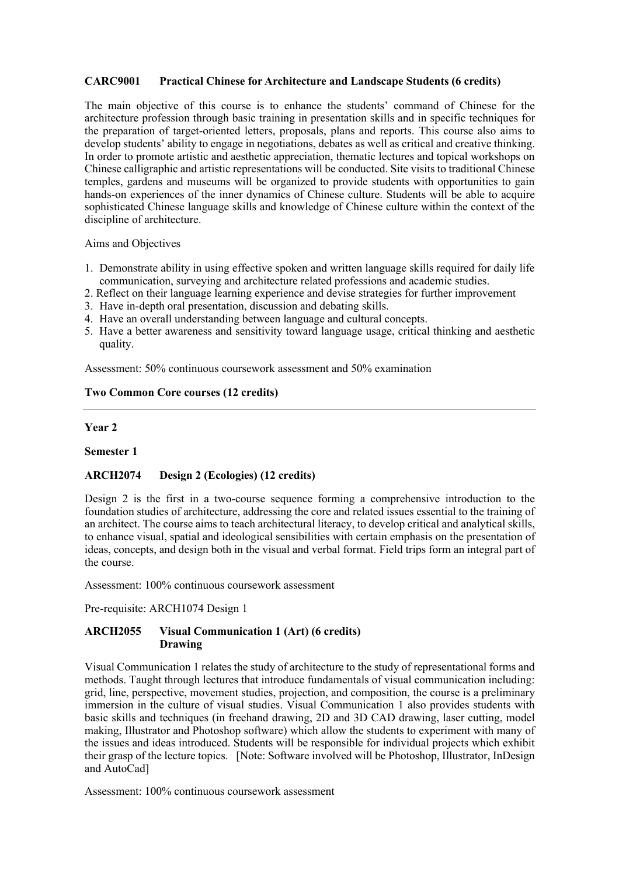## **CARC9001 Practical Chinese for Architecture and Landscape Students (6 credits)**

 The main objective of this course is to enhance the students' command of Chinese for the architecture profession through basic training in presentation skills and in specific techniques for the preparation of target-oriented letters, proposals, plans and reports. This course also aims to develop students' ability to engage in negotiations, debates as well as critical and creative thinking. In order to promote artistic and aesthetic appreciation, thematic lectures and topical workshops on Chinese calligraphic and artistic representations will be conducted. Site visits to traditional Chinese temples, gardens and museums will be organized to provide students with opportunities to gain hands-on experiences of the inner dynamics of Chinese culture. Students will be able to acquire sophisticated Chinese language skills and knowledge of Chinese culture within the context of the discipline of architecture.

Aims and Objectives

- 1. Demonstrate ability in using effective spoken and written language skills required for daily life communication, surveying and architecture related professions and academic studies.
- 2. Reflect on their language learning experience and devise strategies for further improvement
- 3. Have in-depth oral presentation, discussion and debating skills.
- 4. Have an overall understanding between language and cultural concepts.
- 5. Have a better awareness and sensitivity toward language usage, critical thinking and aesthetic quality.

Assessment: 50% continuous coursework assessment and 50% examination

#### **Two Common Core courses (12 credits)**

#### **Year 2**

#### **Semester 1**

## **ARCH2074 Design 2 (Ecologies) (12 credits)**

 Design 2 is the first in a two-course sequence forming a comprehensive introduction to the foundation studies of architecture, addressing the core and related issues essential to the training of an architect. The course aims to teach architectural literacy, to develop critical and analytical skills, to enhance visual, spatial and ideological sensibilities with certain emphasis on the presentation of ideas, concepts, and design both in the visual and verbal format. Field trips form an integral part of the course.

Assessment: 100% continuous coursework assessment

Pre-requisite: ARCH1074 Design 1

## **ARCH2055 Visual Communication 1 (Art) (6 credits) Drawing**

 Visual Communication 1 relates the study of architecture to the study of representational forms and methods. Taught through lectures that introduce fundamentals of visual communication including: grid, line, perspective, movement studies, projection, and composition, the course is a preliminary immersion in the culture of visual studies. Visual Communication 1 also provides students with basic skills and techniques (in freehand drawing, 2D and 3D CAD drawing, laser cutting, model making, Illustrator and Photoshop software) which allow the students to experiment with many of the issues and ideas introduced. Students will be responsible for individual projects which exhibit their grasp of the lecture topics. [Note: Software involved will be Photoshop, Illustrator, InDesign and AutoCad]

Assessment: 100% continuous coursework assessment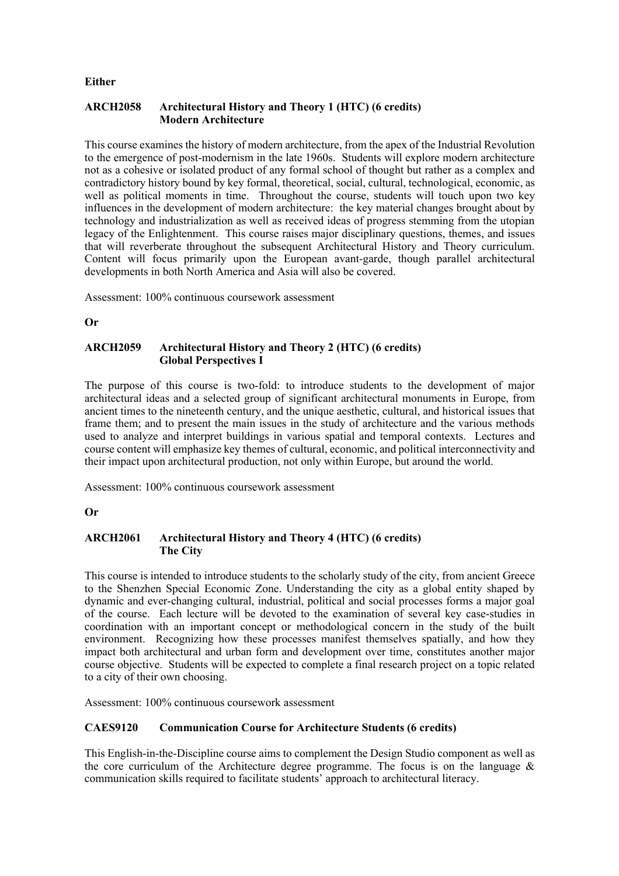#### **Either**

## **ARCH2058 Architectural History and Theory 1 (HTC) (6 credits) Modern Architecture**

 This course examines the history of modern architecture, from the apex of the Industrial Revolution to the emergence of post-modernism in the late 1960s. Students will explore modern architecture not as a cohesive or isolated product of any formal school of thought but rather as a complex and contradictory history bound by key formal, theoretical, social, cultural, technological, economic, as well as political moments in time. Throughout the course, students will touch upon two key influences in the development of modern architecture: the key material changes brought about by technology and industrialization as well as received ideas of progress stemming from the utopian legacy of the Enlightenment. This course raises major disciplinary questions, themes, and issues that will reverberate throughout the subsequent Architectural History and Theory curriculum. Content will focus primarily upon the European avant-garde, though parallel architectural developments in both North America and Asia will also be covered.

Assessment: 100% continuous coursework assessment

**Or** 

## **ARCH2059 Architectural History and Theory 2 (HTC) (6 credits) Global Perspectives I**

 The purpose of this course is two-fold: to introduce students to the development of major architectural ideas and a selected group of significant architectural monuments in Europe, from ancient times to the nineteenth century, and the unique aesthetic, cultural, and historical issues that frame them; and to present the main issues in the study of architecture and the various methods used to analyze and interpret buildings in various spatial and temporal contexts. Lectures and course content will emphasize key themes of cultural, economic, and political interconnectivity and their impact upon architectural production, not only within Europe, but around the world.

Assessment: 100% continuous coursework assessment

## **Or**

# **ARCH2061 Architectural History and Theory 4 (HTC) (6 credits) The City**

 This course is intended to introduce students to the scholarly study of the city, from ancient Greece to the Shenzhen Special Economic Zone. Understanding the city as a global entity shaped by dynamic and ever-changing cultural, industrial, political and social processes forms a major goal of the course. Each lecture will be devoted to the examination of several key case-studies in coordination with an important concept or methodological concern in the study of the built environment. Recognizing how these processes manifest themselves spatially, and how they impact both architectural and urban form and development over time, constitutes another major course objective. Students will be expected to complete a final research project on a topic related to a city of their own choosing.

Assessment: 100% continuous coursework assessment

#### **CAES9120 Communication Course for Architecture Students (6 credits)**

 This English-in-the-Discipline course aims to complement the Design Studio component as well as the core curriculum of the Architecture degree programme. The focus is on the language  $\&$ communication skills required to facilitate students' approach to architectural literacy.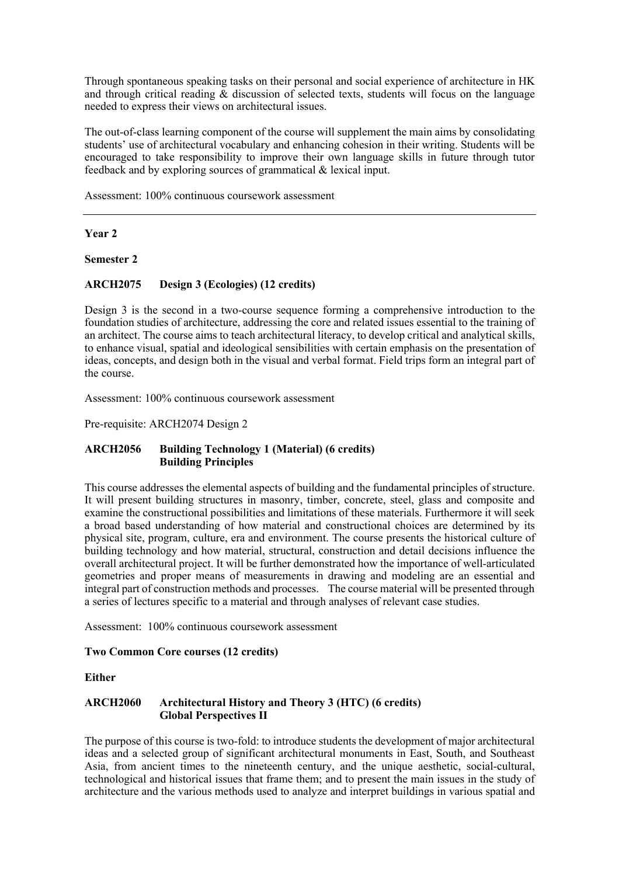Through spontaneous speaking tasks on their personal and social experience of architecture in HK and through critical reading & discussion of selected texts, students will focus on the language needed to express their views on architectural issues.

 The out-of-class learning component of the course will supplement the main aims by consolidating students' use of architectural vocabulary and enhancing cohesion in their writing. Students will be encouraged to take responsibility to improve their own language skills in future through tutor feedback and by exploring sources of grammatical & lexical input.

Assessment: 100% continuous coursework assessment

## **Year 2**

**Semester 2** 

## **ARCH2075 Design 3 (Ecologies) (12 credits)**

 Design 3 is the second in a two-course sequence forming a comprehensive introduction to the foundation studies of architecture, addressing the core and related issues essential to the training of an architect. The course aims to teach architectural literacy, to develop critical and analytical skills, to enhance visual, spatial and ideological sensibilities with certain emphasis on the presentation of ideas, concepts, and design both in the visual and verbal format. Field trips form an integral part of the course.

Assessment: 100% continuous coursework assessment

Pre-requisite: ARCH2074 Design 2

#### **ARCH2056 Building Technology 1 (Material) (6 credits) Building Principles**

 This course addresses the elemental aspects of building and the fundamental principles of structure. It will present building structures in masonry, timber, concrete, steel, glass and composite and examine the constructional possibilities and limitations of these materials. Furthermore it will seek a broad based understanding of how material and constructional choices are determined by its physical site, program, culture, era and environment. The course presents the historical culture of building technology and how material, structural, construction and detail decisions influence the overall architectural project. It will be further demonstrated how the importance of well-articulated geometries and proper means of measurements in drawing and modeling are an essential and integral part of construction methods and processes. The course material will be presented through a series of lectures specific to a material and through analyses of relevant case studies.

Assessment: 100% continuous coursework assessment

#### **Two Common Core courses (12 credits)**

**Either** 

#### **ARCH2060 Architectural History and Theory 3 (HTC) (6 credits) Global Perspectives II**

 The purpose of this course is two-fold: to introduce students the development of major architectural ideas and a selected group of significant architectural monuments in East, South, and Southeast Asia, from ancient times to the nineteenth century, and the unique aesthetic, social-cultural, technological and historical issues that frame them; and to present the main issues in the study of architecture and the various methods used to analyze and interpret buildings in various spatial and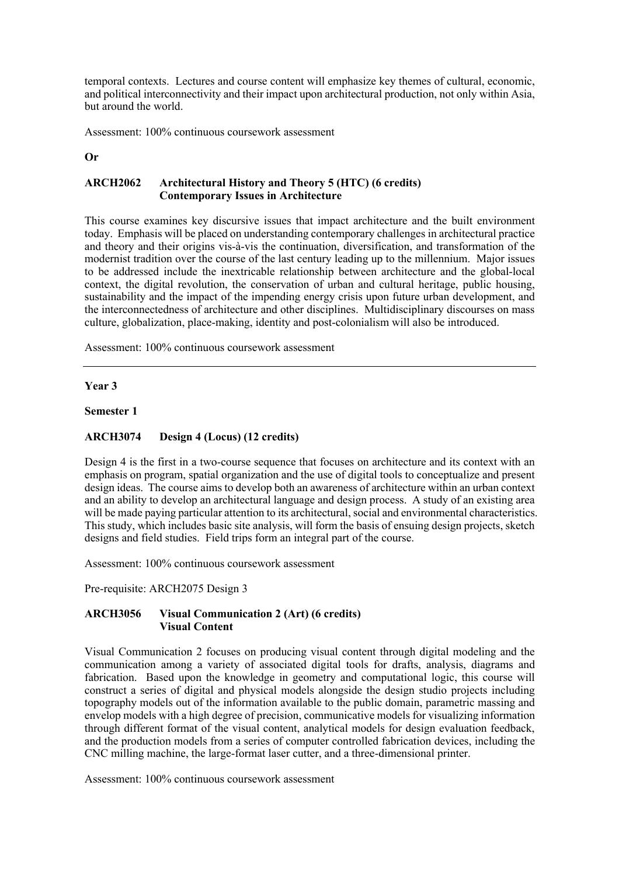temporal contexts. Lectures and course content will emphasize key themes of cultural, economic, and political interconnectivity and their impact upon architectural production, not only within Asia, but around the world.

Assessment: 100% continuous coursework assessment

#### **Or**

## **ARCH2062 Architectural History and Theory 5 (HTC) (6 credits) Contemporary Issues in Architecture**

 This course examines key discursive issues that impact architecture and the built environment today. Emphasis will be placed on understanding contemporary challenges in architectural practice and theory and their origins vis-à-vis the continuation, diversification, and transformation of the modernist tradition over the course of the last century leading up to the millennium. Major issues to be addressed include the inextricable relationship between architecture and the global-local context, the digital revolution, the conservation of urban and cultural heritage, public housing, sustainability and the impact of the impending energy crisis upon future urban development, and the interconnectedness of architecture and other disciplines. Multidisciplinary discourses on mass culture, globalization, place-making, identity and post-colonialism will also be introduced.

Assessment: 100% continuous coursework assessment

#### **Year 3**

#### **Semester 1**

## **ARCH3074 Design 4 (Locus) (12 credits)**

 Design 4 is the first in a two-course sequence that focuses on architecture and its context with an emphasis on program, spatial organization and the use of digital tools to conceptualize and present design ideas. The course aims to develop both an awareness of architecture within an urban context and an ability to develop an architectural language and design process. A study of an existing area will be made paying particular attention to its architectural, social and environmental characteristics. This study, which includes basic site analysis, will form the basis of ensuing design projects, sketch designs and field studies. Field trips form an integral part of the course.

Assessment: 100% continuous coursework assessment

Pre-requisite: ARCH2075 Design 3

## **ARCH3056 Visual Communication 2 (Art) (6 credits) Visual Content**

 Visual Communication 2 focuses on producing visual content through digital modeling and the communication among a variety of associated digital tools for drafts, analysis, diagrams and fabrication. Based upon the knowledge in geometry and computational logic, this course will construct a series of digital and physical models alongside the design studio projects including topography models out of the information available to the public domain, parametric massing and envelop models with a high degree of precision, communicative models for visualizing information through different format of the visual content, analytical models for design evaluation feedback, and the production models from a series of computer controlled fabrication devices, including the CNC milling machine, the large-format laser cutter, and a three-dimensional printer.

Assessment: 100% continuous coursework assessment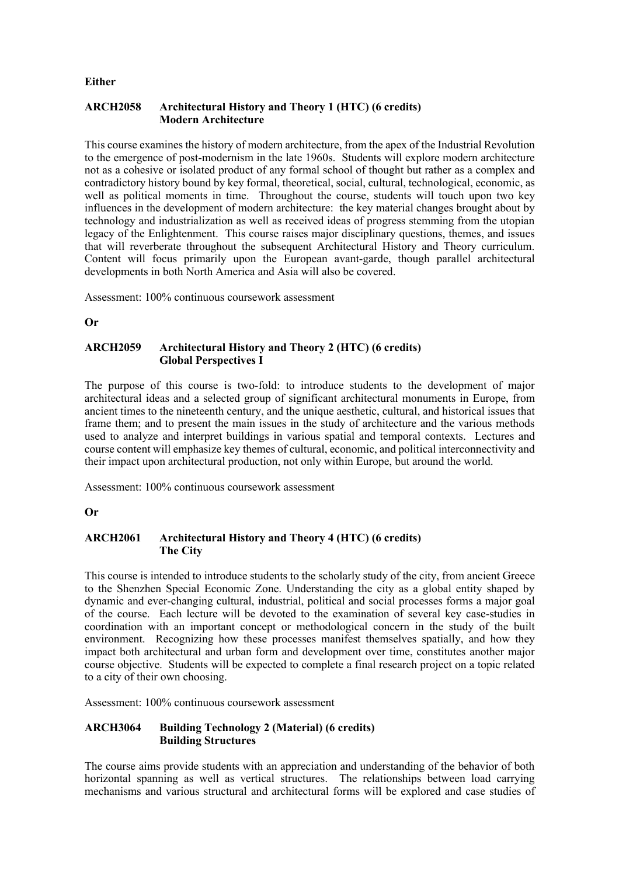#### **Either**

## **ARCH2058 Architectural History and Theory 1 (HTC) (6 credits) Modern Architecture**

 This course examines the history of modern architecture, from the apex of the Industrial Revolution to the emergence of post-modernism in the late 1960s. Students will explore modern architecture not as a cohesive or isolated product of any formal school of thought but rather as a complex and contradictory history bound by key formal, theoretical, social, cultural, technological, economic, as well as political moments in time. Throughout the course, students will touch upon two key influences in the development of modern architecture: the key material changes brought about by technology and industrialization as well as received ideas of progress stemming from the utopian legacy of the Enlightenment. This course raises major disciplinary questions, themes, and issues that will reverberate throughout the subsequent Architectural History and Theory curriculum. Content will focus primarily upon the European avant-garde, though parallel architectural developments in both North America and Asia will also be covered.

Assessment: 100% continuous coursework assessment

**Or** 

## **ARCH2059 Architectural History and Theory 2 (HTC) (6 credits) Global Perspectives I**

 The purpose of this course is two-fold: to introduce students to the development of major architectural ideas and a selected group of significant architectural monuments in Europe, from ancient times to the nineteenth century, and the unique aesthetic, cultural, and historical issues that frame them; and to present the main issues in the study of architecture and the various methods used to analyze and interpret buildings in various spatial and temporal contexts. Lectures and course content will emphasize key themes of cultural, economic, and political interconnectivity and their impact upon architectural production, not only within Europe, but around the world.

Assessment: 100% continuous coursework assessment

## **Or**

# **ARCH2061 Architectural History and Theory 4 (HTC) (6 credits) The City**

 This course is intended to introduce students to the scholarly study of the city, from ancient Greece to the Shenzhen Special Economic Zone. Understanding the city as a global entity shaped by dynamic and ever-changing cultural, industrial, political and social processes forms a major goal of the course. Each lecture will be devoted to the examination of several key case-studies in coordination with an important concept or methodological concern in the study of the built environment. Recognizing how these processes manifest themselves spatially, and how they impact both architectural and urban form and development over time, constitutes another major course objective. Students will be expected to complete a final research project on a topic related to a city of their own choosing.

Assessment: 100% continuous coursework assessment

#### **ARCH3064 Building Technology 2 (Material) (6 credits) Building Structures**

 The course aims provide students with an appreciation and understanding of the behavior of both horizontal spanning as well as vertical structures. The relationships between load carrying mechanisms and various structural and architectural forms will be explored and case studies of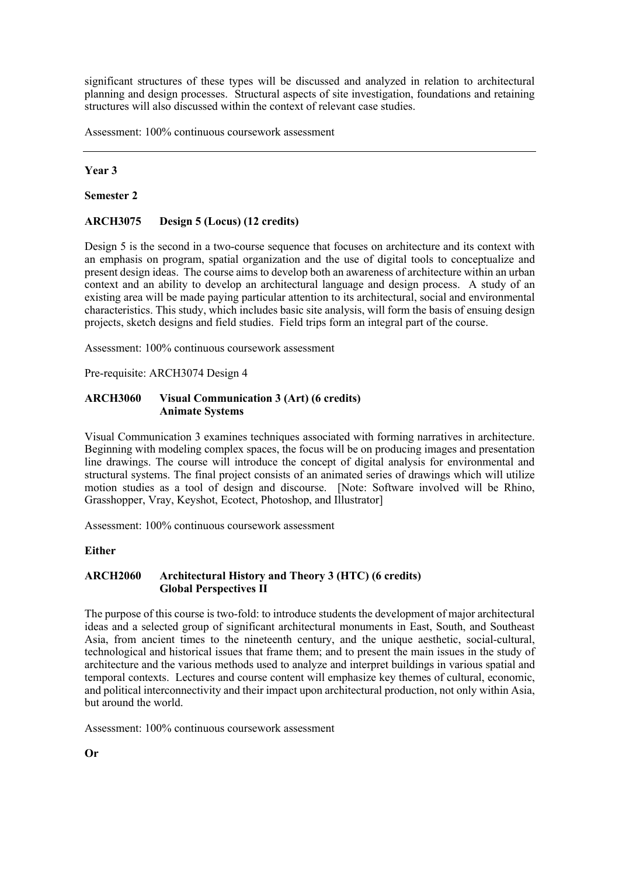significant structures of these types will be discussed and analyzed in relation to architectural planning and design processes. Structural aspects of site investigation, foundations and retaining structures will also discussed within the context of relevant case studies.

Assessment: 100% continuous coursework assessment

## **Year 3**

**Semester 2** 

## **ARCH3075 Design 5 (Locus) (12 credits)**

 Design 5 is the second in a two-course sequence that focuses on architecture and its context with an emphasis on program, spatial organization and the use of digital tools to conceptualize and present design ideas. The course aims to develop both an awareness of architecture within an urban context and an ability to develop an architectural language and design process. A study of an existing area will be made paying particular attention to its architectural, social and environmental characteristics. This study, which includes basic site analysis, will form the basis of ensuing design projects, sketch designs and field studies. Field trips form an integral part of the course.

Assessment: 100% continuous coursework assessment

Pre-requisite: ARCH3074 Design 4

#### **ARCH3060 Visual Communication 3 (Art) (6 credits) Animate Systems**

 Visual Communication 3 examines techniques associated with forming narratives in architecture. Beginning with modeling complex spaces, the focus will be on producing images and presentation line drawings. The course will introduce the concept of digital analysis for environmental and structural systems. The final project consists of an animated series of drawings which will utilize motion studies as a tool of design and discourse. [Note: Software involved will be Rhino, Grasshopper, Vray, Keyshot, Ecotect, Photoshop, and Illustrator]

Assessment: 100% continuous coursework assessment

## **Either**

## **ARCH2060 Architectural History and Theory 3 (HTC) (6 credits) Global Perspectives II**

 The purpose of this course is two-fold: to introduce students the development of major architectural ideas and a selected group of significant architectural monuments in East, South, and Southeast Asia, from ancient times to the nineteenth century, and the unique aesthetic, social-cultural, technological and historical issues that frame them; and to present the main issues in the study of architecture and the various methods used to analyze and interpret buildings in various spatial and temporal contexts. Lectures and course content will emphasize key themes of cultural, economic, and political interconnectivity and their impact upon architectural production, not only within Asia, but around the world.

Assessment: 100% continuous coursework assessment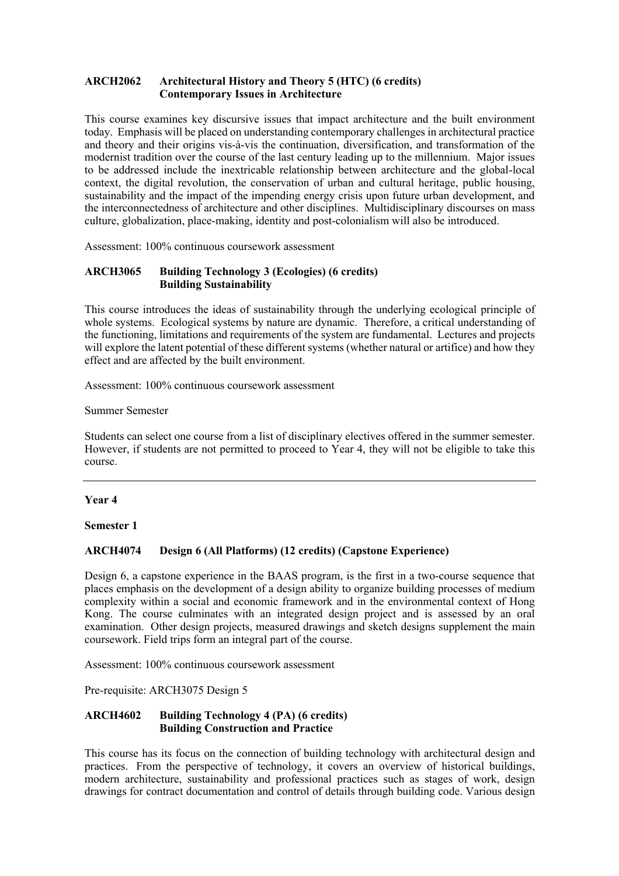## **ARCH2062 Architectural History and Theory 5 (HTC) (6 credits) Contemporary Issues in Architecture**

 This course examines key discursive issues that impact architecture and the built environment today. Emphasis will be placed on understanding contemporary challenges in architectural practice and theory and their origins vis-à-vis the continuation, diversification, and transformation of the modernist tradition over the course of the last century leading up to the millennium. Major issues to be addressed include the inextricable relationship between architecture and the global-local context, the digital revolution, the conservation of urban and cultural heritage, public housing, sustainability and the impact of the impending energy crisis upon future urban development, and the interconnectedness of architecture and other disciplines. Multidisciplinary discourses on mass culture, globalization, place-making, identity and post-colonialism will also be introduced.

Assessment: 100% continuous coursework assessment

## **ARCH3065 Building Technology 3 (Ecologies) (6 credits) Building Sustainability**

 This course introduces the ideas of sustainability through the underlying ecological principle of whole systems. Ecological systems by nature are dynamic. Therefore, a critical understanding of the functioning, limitations and requirements of the system are fundamental. Lectures and projects will explore the latent potential of these different systems (whether natural or artifice) and how they effect and are affected by the built environment.

effect and are affected by the built environment. Assessment: 100% continuous coursework assessment

Summer Semester

 Students can select one course from a list of disciplinary electives offered in the summer semester. However, if students are not permitted to proceed to Year 4, they will not be eligible to take this course.

## **Year 4**

**Semester 1** 

## **ARCH4074 Design 6 (All Platforms) (12 credits) (Capstone Experience)**

 Design 6, a capstone experience in the BAAS program, is the first in a two-course sequence that places emphasis on the development of a design ability to organize building processes of medium complexity within a social and economic framework and in the environmental context of Hong Kong. The course culminates with an integrated design project and is assessed by an oral examination. Other design projects, measured drawings and sketch designs supplement the main coursework. Field trips form an integral part of the course.

Assessment: 100% continuous coursework assessment

Pre-requisite: ARCH3075 Design 5

## **ARCH4602 Building Technology 4 (PA) (6 credits) Building Construction and Practice**

 This course has its focus on the connection of building technology with architectural design and practices. From the perspective of technology, it covers an overview of historical buildings, modern architecture, sustainability and professional practices such as stages of work, design drawings for contract documentation and control of details through building code. Various design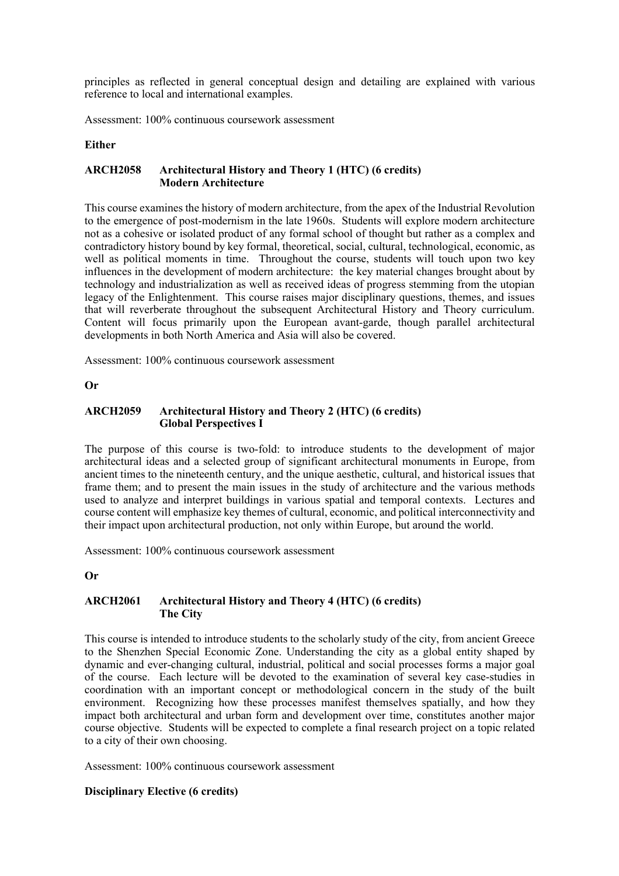principles as reflected in general conceptual design and detailing are explained with various reference to local and international examples.

Assessment: 100% continuous coursework assessment

#### **Either**

#### **ARCH2058 Architectural History and Theory 1 (HTC) (6 credits) Modern Architecture**

 This course examines the history of modern architecture, from the apex of the Industrial Revolution to the emergence of post-modernism in the late 1960s. Students will explore modern architecture not as a cohesive or isolated product of any formal school of thought but rather as a complex and contradictory history bound by key formal, theoretical, social, cultural, technological, economic, as well as political moments in time. Throughout the course, students will touch upon two key influences in the development of modern architecture: the key material changes brought about by technology and industrialization as well as received ideas of progress stemming from the utopian legacy of the Enlightenment. This course raises major disciplinary questions, themes, and issues that will reverberate throughout the subsequent Architectural History and Theory curriculum. Content will focus primarily upon the European avant-garde, though parallel architectural developments in both North America and Asia will also be covered.

Assessment: 100% continuous coursework assessment

#### **Or**

#### **ARCH2059 Architectural History and Theory 2 (HTC) (6 credits) Global Perspectives I**

 The purpose of this course is two-fold: to introduce students to the development of major architectural ideas and a selected group of significant architectural monuments in Europe, from ancient times to the nineteenth century, and the unique aesthetic, cultural, and historical issues that frame them; and to present the main issues in the study of architecture and the various methods used to analyze and interpret buildings in various spatial and temporal contexts. Lectures and course content will emphasize key themes of cultural, economic, and political interconnectivity and their impact upon architectural production, not only within Europe, but around the world.

Assessment: 100% continuous coursework assessment

#### **Or**

## **ARCH2061 Architectural History and Theory 4 (HTC) (6 credits) The City**

 This course is intended to introduce students to the scholarly study of the city, from ancient Greece to the Shenzhen Special Economic Zone. Understanding the city as a global entity shaped by dynamic and ever-changing cultural, industrial, political and social processes forms a major goal of the course. Each lecture will be devoted to the examination of several key case-studies in coordination with an important concept or methodological concern in the study of the built environment. Recognizing how these processes manifest themselves spatially, and how they impact both architectural and urban form and development over time, constitutes another major course objective. Students will be expected to complete a final research project on a topic related to a city of their own choosing.

Assessment: 100% continuous coursework assessment

## **Disciplinary Elective (6 credits)**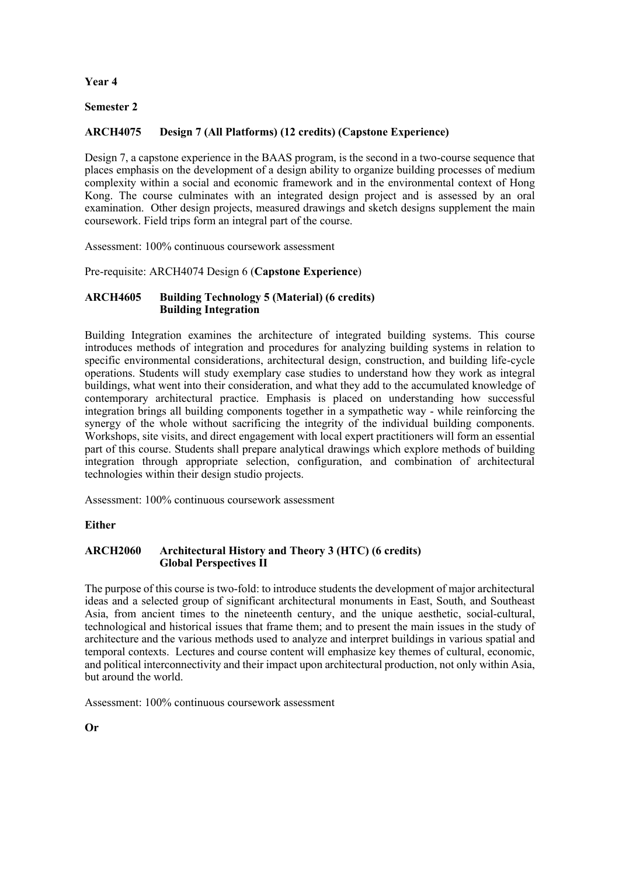## **Year 4**

## **Semester 2**

# **ARCH4075 Design 7 (All Platforms) (12 credits) (Capstone Experience)**

 Design 7, a capstone experience in the BAAS program, is the second in a two-course sequence that places emphasis on the development of a design ability to organize building processes of medium complexity within a social and economic framework and in the environmental context of Hong Kong. The course culminates with an integrated design project and is assessed by an oral examination. Other design projects, measured drawings and sketch designs supplement the main coursework. Field trips form an integral part of the course.

Assessment: 100% continuous coursework assessment

Pre-requisite: ARCH4074 Design 6 (**Capstone Experience**)

## **ARCH4605 Building Technology 5 (Material) (6 credits) Building Integration**

 Building Integration examines the architecture of integrated building systems. This course introduces methods of integration and procedures for analyzing building systems in relation to specific environmental considerations, architectural design, construction, and building life-cycle operations. Students will study exemplary case studies to understand how they work as integral buildings, what went into their consideration, and what they add to the accumulated knowledge of contemporary architectural practice. Emphasis is placed on understanding how successful integration brings all building components together in a sympathetic way - while reinforcing the synergy of the whole without sacrificing the integrity of the individual building components. Workshops, site visits, and direct engagement with local expert practitioners will form an essential part of this course. Students shall prepare analytical drawings which explore methods of building integration through appropriate selection, configuration, and combination of architectural technologies within their design studio projects.

Assessment: 100% continuous coursework assessment

## **Either**

## **ARCH2060 Architectural History and Theory 3 (HTC) (6 credits) Global Perspectives II**

 The purpose of this course is two-fold: to introduce students the development of major architectural ideas and a selected group of significant architectural monuments in East, South, and Southeast Asia, from ancient times to the nineteenth century, and the unique aesthetic, social-cultural, technological and historical issues that frame them; and to present the main issues in the study of architecture and the various methods used to analyze and interpret buildings in various spatial and temporal contexts. Lectures and course content will emphasize key themes of cultural, economic, and political interconnectivity and their impact upon architectural production, not only within Asia, but around the world.

Assessment: 100% continuous coursework assessment

**Or**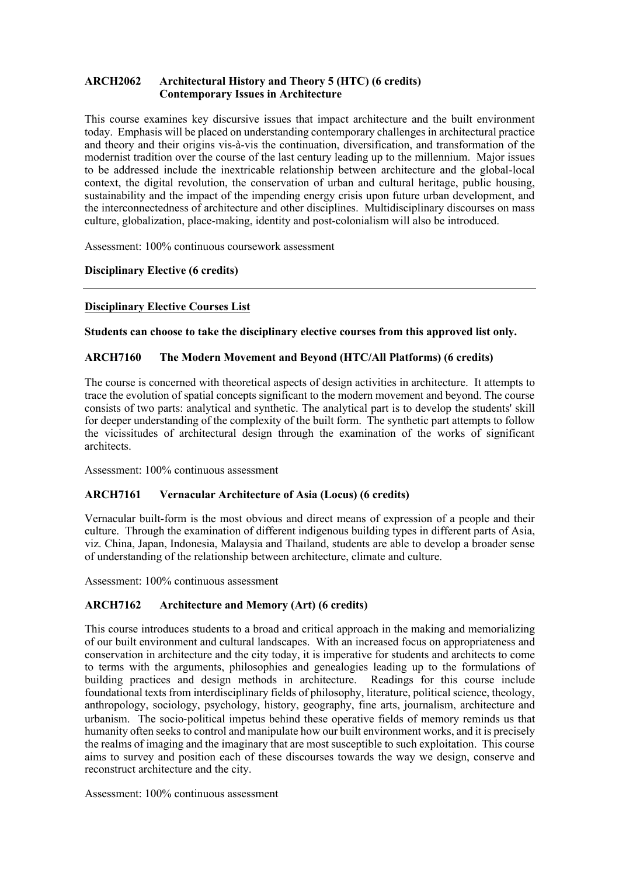## **ARCH2062 Architectural History and Theory 5 (HTC) (6 credits) Contemporary Issues in Architecture**

 This course examines key discursive issues that impact architecture and the built environment today. Emphasis will be placed on understanding contemporary challenges in architectural practice and theory and their origins vis-à-vis the continuation, diversification, and transformation of the modernist tradition over the course of the last century leading up to the millennium. Major issues to be addressed include the inextricable relationship between architecture and the global-local context, the digital revolution, the conservation of urban and cultural heritage, public housing, sustainability and the impact of the impending energy crisis upon future urban development, and the interconnectedness of architecture and other disciplines. Multidisciplinary discourses on mass culture, globalization, place-making, identity and post-colonialism will also be introduced.

Assessment: 100% continuous coursework assessment

## **Disciplinary Elective (6 credits)**

## **Disciplinary Elective Courses List**

 **Students can choose to take the disciplinary elective courses from this approved list only.** 

## **ARCH7160 The Modern Movement and Beyond (HTC/All Platforms) (6 credits)**

 The course is concerned with theoretical aspects of design activities in architecture. It attempts to trace the evolution of spatial concepts significant to the modern movement and beyond. The course consists of two parts: analytical and synthetic. The analytical part is to develop the students' skill for deeper understanding of the complexity of the built form. The synthetic part attempts to follow the vicissitudes of architectural design through the examination of the works of significant architects.

Assessment: 100% continuous assessment

## **ARCH7161 Vernacular Architecture of Asia (Locus) (6 credits)**

 Vernacular built-form is the most obvious and direct means of expression of a people and their culture. Through the examination of different indigenous building types in different parts of Asia, viz. China, Japan, Indonesia, Malaysia and Thailand, students are able to develop a broader sense of understanding of the relationship between architecture, climate and culture.

Assessment: 100% continuous assessment

## **ARCH7162 Architecture and Memory (Art) (6 credits)**

 This course introduces students to a broad and critical approach in the making and memorializing of our built environment and cultural landscapes. With an increased focus on appropriateness and conservation in architecture and the city today, it is imperative for students and architects to come to terms with the arguments, philosophies and genealogies leading up to the formulations of building practices and design methods in architecture. Readings for this course include anthropology, sociology, psychology, history, geography, fine arts, journalism, architecture and urbanism. The socio-political impetus behind these operative fields of memory reminds us that humanity often seeks to control and manipulate how our built environment works, and it is precisely the realms of imaging and the imaginary that are most susceptible to such exploitation. This course aims to survey and position each of these discourses towards the way we design, conserve and foundational texts from interdisciplinary fields of philosophy, literature, political science, theology, reconstruct architecture and the city.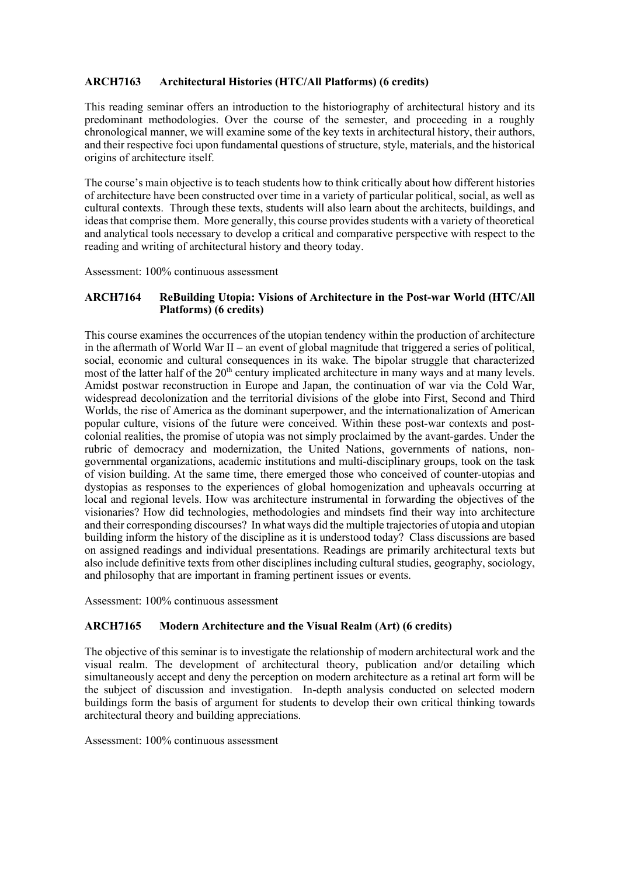## **ARCH7163 Architectural Histories (HTC/All Platforms) (6 credits)**

 This reading seminar offers an introduction to the historiography of architectural history and its predominant methodologies. Over the course of the semester, and proceeding in a roughly chronological manner, we will examine some of the key texts in architectural history, their authors, and their respective foci upon fundamental questions of structure, style, materials, and the historical origins of architecture itself.

 The course's main objective is to teach students how to think critically about how different histories of architecture have been constructed over time in a variety of particular political, social, as well as cultural contexts. Through these texts, students will also learn about the architects, buildings, and ideas that comprise them. More generally, this course provides students with a variety of theoretical and analytical tools necessary to develop a critical and comparative perspective with respect to the reading and writing of architectural history and theory today.

Assessment: 100% continuous assessment

## **ARCH7164 ReBuilding Utopia: Visions of Architecture in the Post-war World (HTC/All Platforms) (6 credits)**

 This course examines the occurrences of the utopian tendency within the production of architecture in the aftermath of World War II – an event of global magnitude that triggered a series of political, social, economic and cultural consequences in its wake. The bipolar struggle that characterized most of the latter half of the 20<sup>th</sup> century implicated architecture in many ways and at many levels. Amidst postwar reconstruction in Europe and Japan, the continuation of war via the Cold War, widespread decolonization and the territorial divisions of the globe into First, Second and Third Worlds, the rise of America as the dominant superpower, and the internationalization of American popular culture, visions of the future were conceived. Within these post-war contexts and post- colonial realities, the promise of utopia was not simply proclaimed by the avant-gardes. Under the rubric of democracy and modernization, the United Nations, governments of nations, non- of vision building. At the same time, there emerged those who conceived of counter-utopias and dystopias as responses to the experiences of global homogenization and upheavals occurring at local and regional levels. How was architecture instrumental in forwarding the objectives of the visionaries? How did technologies, methodologies and mindsets find their way into architecture and their corresponding discourses? In what ways did the multiple trajectories of utopia and utopian building inform the history of the discipline as it is understood today? Class discussions are based on assigned readings and individual presentations. Readings are primarily architectural texts but also include definitive texts from other disciplines including cultural studies, geography, sociology, and philosophy that are important in framing pertinent issues or events. governmental organizations, academic institutions and multi-disciplinary groups, took on the task

Assessment: 100% continuous assessment

## **ARCH7165 Modern Architecture and the Visual Realm (Art) (6 credits)**

 The objective of this seminar is to investigate the relationship of modern architectural work and the visual realm. The development of architectural theory, publication and/or detailing which simultaneously accept and deny the perception on modern architecture as a retinal art form will be the subject of discussion and investigation. In-depth analysis conducted on selected modern buildings form the basis of argument for students to develop their own critical thinking towards architectural theory and building appreciations.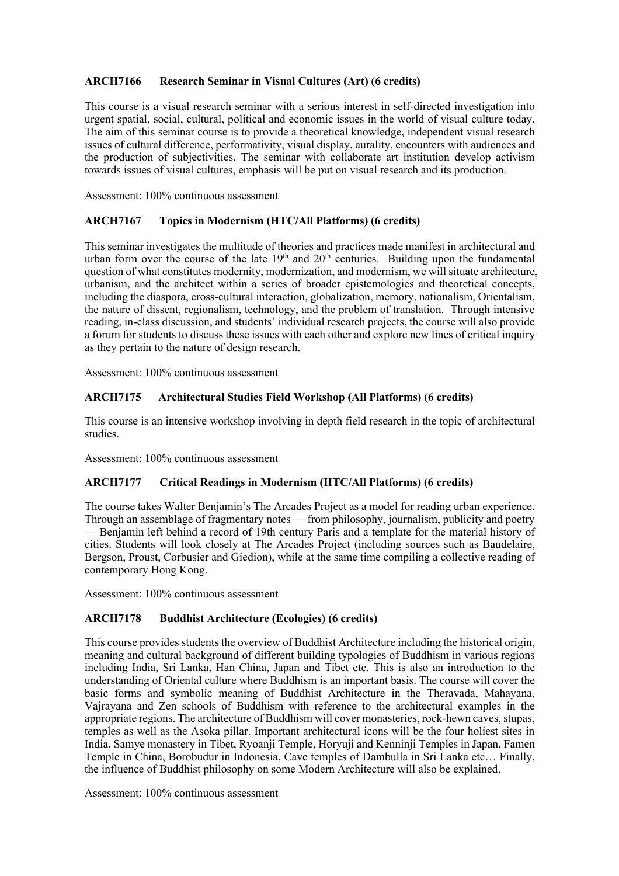## **ARCH7166 Research Seminar in Visual Cultures (Art) (6 credits)**

 This course is a visual research seminar with a serious interest in self-directed investigation into urgent spatial, social, cultural, political and economic issues in the world of visual culture today. The aim of this seminar course is to provide a theoretical knowledge, independent visual research issues of cultural difference, performativity, visual display, aurality, encounters with audiences and the production of subjectivities. The seminar with collaborate art institution develop activism towards issues of visual cultures, emphasis will be put on visual research and its production.

Assessment: 100% continuous assessment

## **ARCH7167 Topics in Modernism (HTC/All Platforms) (6 credits)**

 This seminar investigates the multitude of theories and practices made manifest in architectural and urban form over the course of the late  $19<sup>th</sup>$  and  $20<sup>th</sup>$  centuries. Building upon the fundamental question of what constitutes modernity, modernization, and modernism, we will situate architecture, urbanism, and the architect within a series of broader epistemologies and theoretical concepts, including the diaspora, cross-cultural interaction, globalization, memory, nationalism, Orientalism, the nature of dissent, regionalism, technology, and the problem of translation. Through intensive reading, in-class discussion, and students' individual research projects, the course will also provide a forum for students to discuss these issues with each other and explore new lines of critical inquiry as they pertain to the nature of design research.

Assessment: 100% continuous assessment

#### ARCH7175 Architectural Studies Field Workshop (All Platforms) (6 credits)

 This course is an intensive workshop involving in depth field research in the topic of architectural studies.

Assessment: 100% continuous assessment

## **ARCH7177 Critical Readings in Modernism (HTC/All Platforms) (6 credits)**

 The course takes Walter Benjamin's The Arcades Project as a model for reading urban experience. Through an assemblage of fragmentary notes — from philosophy, journalism, publicity and poetry — Benjamin left behind a record of 19th century Paris and a template for the material history of cities. Students will look closely at The Arcades Project (including sources such as Baudelaire, Bergson, Proust, Corbusier and Giedion), while at the same time compiling a collective reading of contemporary Hong Kong.

Assessment: 100% continuous assessment

## **ARCH7178 Buddhist Architecture (Ecologies) (6 credits)**

 This course provides students the overview of Buddhist Architecture including the historical origin, meaning and cultural background of different building typologies of Buddhism in various regions including India, Sri Lanka, Han China, Japan and Tibet etc. This is also an introduction to the understanding of Oriental culture where Buddhism is an important basis. The course will cover the basic forms and symbolic meaning of Buddhist Architecture in the Theravada, Mahayana, Vajrayana and Zen schools of Buddhism with reference to the architectural examples in the appropriate regions. The architecture of Buddhism will cover monasteries, rock-hewn caves, stupas, temples as well as the Asoka pillar. Important architectural icons will be the four holiest sites in India, Samye monastery in Tibet, Ryoanji Temple, Horyuji and Kenninji Temples in Japan, Famen Temple in China, Borobudur in Indonesia, Cave temples of Dambulla in Sri Lanka etc… Finally, the influence of Buddhist philosophy on some Modern Architecture will also be explained.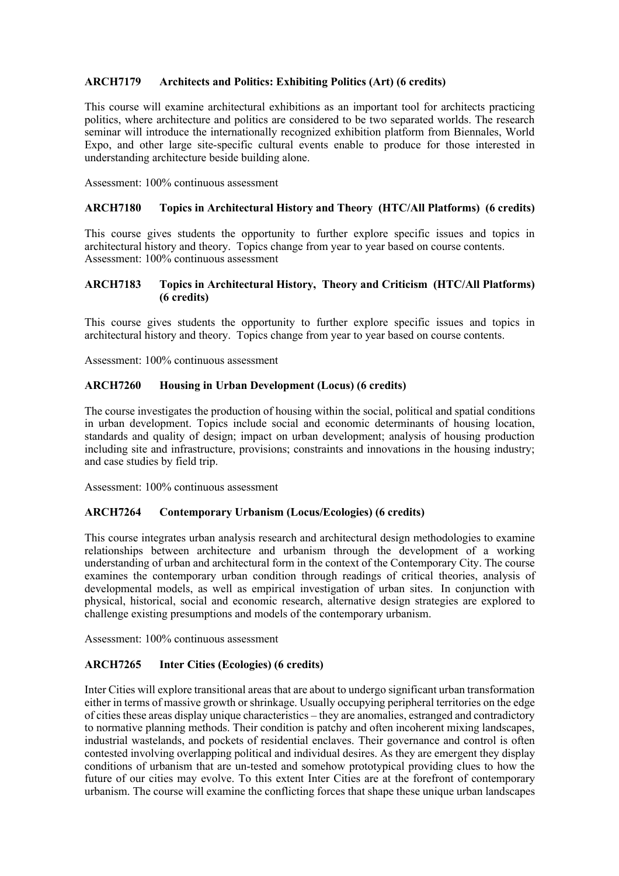## **ARCH7179 Architects and Politics: Exhibiting Politics (Art) (6 credits)**

 This course will examine architectural exhibitions as an important tool for architects practicing politics, where architecture and politics are considered to be two separated worlds. The research seminar will introduce the internationally recognized exhibition platform from Biennales, World Expo, and other large site-specific cultural events enable to produce for those interested in understanding architecture beside building alone.

Assessment: 100% continuous assessment

#### **ARCH7180 Topics in Architectural History and Theory (HTC/All Platforms) (6 credits)**

 This course gives students the opportunity to further explore specific issues and topics in architectural history and theory. Topics change from year to year based on course contents. Assessment: 100% continuous assessment

## **ARCH7183 Topics in Architectural History, Theory and Criticism (HTC/All Platforms) (6 credits)**

 This course gives students the opportunity to further explore specific issues and topics in architectural history and theory. Topics change from year to year based on course contents.

Assessment: 100% continuous assessment

#### **ARCH7260 Housing in Urban Development (Locus) (6 credits)**

 The course investigates the production of housing within the social, political and spatial conditions in urban development. Topics include social and economic determinants of housing location, standards and quality of design; impact on urban development; analysis of housing production including site and infrastructure, provisions; constraints and innovations in the housing industry; and case studies by field trip.

Assessment: 100% continuous assessment

#### **ARCH7264 Contemporary Urbanism (Locus/Ecologies) (6 credits)**

 This course integrates urban analysis research and architectural design methodologies to examine relationships between architecture and urbanism through the development of a working understanding of urban and architectural form in the context of the Contemporary City. The course examines the contemporary urban condition through readings of critical theories, analysis of developmental models, as well as empirical investigation of urban sites. In conjunction with physical, historical, social and economic research, alternative design strategies are explored to challenge existing presumptions and models of the contemporary urbanism.

Assessment: 100% continuous assessment

## **ARCH7265 Inter Cities (Ecologies) (6 credits)**

 Inter Cities will explore transitional areas that are about to undergo significant urban transformation either in terms of massive growth or shrinkage. Usually occupying peripheral territories on the edge of cities these areas display unique characteristics – they are anomalies, estranged and contradictory to normative planning methods. Their condition is patchy and often incoherent mixing landscapes, industrial wastelands, and pockets of residential enclaves. Their governance and control is often contested involving overlapping political and individual desires. As they are emergent they display conditions of urbanism that are un-tested and somehow prototypical providing clues to how the future of our cities may evolve. To this extent Inter Cities are at the forefront of contemporary urbanism. The course will examine the conflicting forces that shape these unique urban landscapes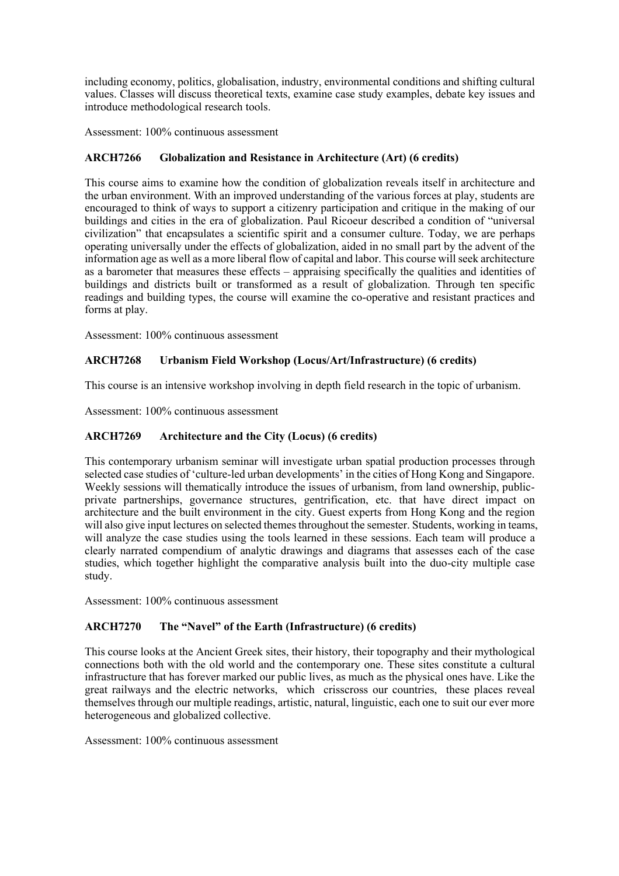values. Classes will discuss theoretical texts, examine case study examples, debate key issues and including economy, politics, globalisation, industry, environmental conditions and shifting cultural introduce methodological research tools.

Assessment: 100% continuous assessment

# **ARCH7266 Globalization and Resistance in Architecture (Art) (6 credits)**

 This course aims to examine how the condition of globalization reveals itself in architecture and the urban environment. With an improved understanding of the various forces at play, students are encouraged to think of ways to support a citizenry participation and critique in the making of our buildings and cities in the era of globalization. Paul Ricoeur described a condition of "universal civilization" that encapsulates a scientific spirit and a consumer culture. Today, we are perhaps operating universally under the effects of globalization, aided in no small part by the advent of the information age as well as a more liberal flow of capital and labor. This course will seek architecture as a barometer that measures these effects – appraising specifically the qualities and identities of buildings and districts built or transformed as a result of globalization. Through ten specific readings and building types, the course will examine the co-operative and resistant practices and forms at play.

Assessment: 100% continuous assessment

# **ARCH7268 Urbanism Field Workshop (Locus/Art/Infrastructure) (6 credits)**

This course is an intensive workshop involving in depth field research in the topic of urbanism.

Assessment: 100% continuous assessment

# **ARCH7269 Architecture and the City (Locus) (6 credits)**

 This contemporary urbanism seminar will investigate urban spatial production processes through selected case studies of 'culture-led urban developments' in the cities of Hong Kong and Singapore. Weekly sessions will thematically introduce the issues of urbanism, from land ownership, public- private partnerships, governance structures, gentrification, etc. that have direct impact on architecture and the built environment in the city. Guest experts from Hong Kong and the region will also give input lectures on selected themes throughout the semester. Students, working in teams, will analyze the case studies using the tools learned in these sessions. Each team will produce a clearly narrated compendium of analytic drawings and diagrams that assesses each of the case studies, which together highlight the comparative analysis built into the duo-city multiple case study.

Assessment: 100% continuous assessment

# **ARCH7270 The "Navel" of the Earth (Infrastructure) (6 credits)**

 This course looks at the Ancient Greek sites, their history, their topography and their mythological connections both with the old world and the contemporary one. These sites constitute a cultural infrastructure that has forever marked our public lives, as much as the physical ones have. Like the great railways and the electric networks, which crisscross our countries, these places reveal themselves through our multiple readings, artistic, natural, linguistic, each one to suit our ever more heterogeneous and globalized collective.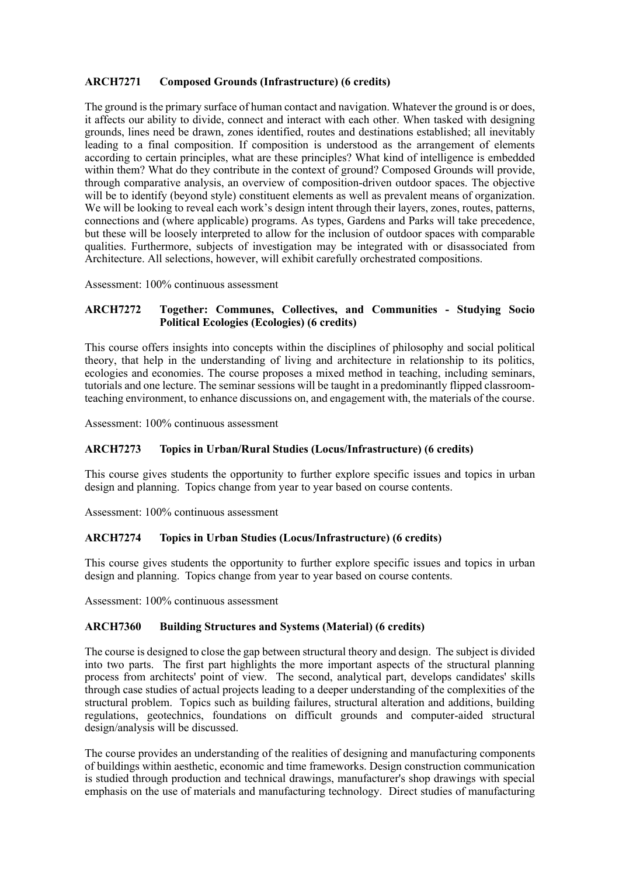## **ARCH7271 Composed Grounds (Infrastructure) (6 credits)**

 The ground is the primary surface of human contact and navigation. Whatever the ground is or does, it affects our ability to divide, connect and interact with each other. When tasked with designing grounds, lines need be drawn, zones identified, routes and destinations established; all inevitably leading to a final composition. If composition is understood as the arrangement of elements according to certain principles, what are these principles? What kind of intelligence is embedded within them? What do they contribute in the context of ground? Composed Grounds will provide, through comparative analysis, an overview of composition-driven outdoor spaces. The objective will be to identify (beyond style) constituent elements as well as prevalent means of organization. We will be looking to reveal each work's design intent through their layers, zones, routes, patterns, connections and (where applicable) programs. As types, Gardens and Parks will take precedence, but these will be loosely interpreted to allow for the inclusion of outdoor spaces with comparable qualities. Furthermore, subjects of investigation may be integrated with or disassociated from Architecture. All selections, however, will exhibit carefully orchestrated compositions.

Assessment: 100% continuous assessment

## **ARCH7272 Together: Communes, Collectives, and Communities - Studying Socio Political Ecologies (Ecologies) (6 credits)**

 This course offers insights into concepts within the disciplines of philosophy and social political theory, that help in the understanding of living and architecture in relationship to its politics, tutorials and one lecture. The seminar sessions will be taught in a predominantly flipped classroom- teaching environment, to enhance discussions on, and engagement with, the materials of the course. ecologies and economies. The course proposes a mixed method in teaching, including seminars,

Assessment: 100% continuous assessment

## **ARCH7273 Topics in Urban/Rural Studies (Locus/Infrastructure) (6 credits)**

 This course gives students the opportunity to further explore specific issues and topics in urban design and planning. Topics change from year to year based on course contents.

Assessment: 100% continuous assessment

## **ARCH7274 Topics in Urban Studies (Locus/Infrastructure) (6 credits)**

 This course gives students the opportunity to further explore specific issues and topics in urban design and planning. Topics change from year to year based on course contents.

Assessment: 100% continuous assessment

## **ARCH7360 Building Structures and Systems (Material) (6 credits)**

 The course is designed to close the gap between structural theory and design. The subject is divided into two parts. The first part highlights the more important aspects of the structural planning process from architects' point of view. The second, analytical part, develops candidates' skills through case studies of actual projects leading to a deeper understanding of the complexities of the structural problem. Topics such as building failures, structural alteration and additions, building design/analysis will be discussed. regulations, geotechnics, foundations on difficult grounds and computer-aided structural

 The course provides an understanding of the realities of designing and manufacturing components of buildings within aesthetic, economic and time frameworks. Design construction communication is studied through production and technical drawings, manufacturer's shop drawings with special emphasis on the use of materials and manufacturing technology. Direct studies of manufacturing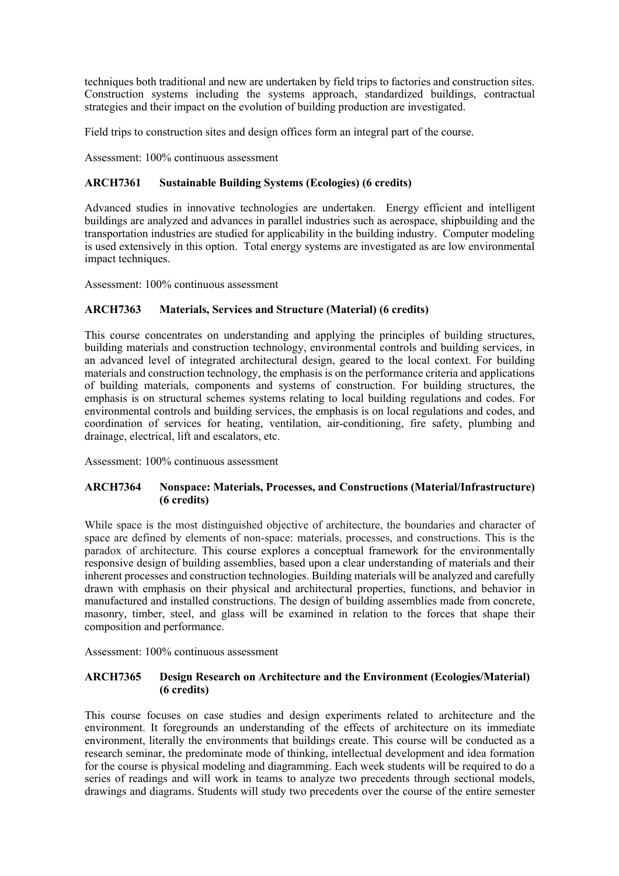techniques both traditional and new are undertaken by field trips to factories and construction sites. Construction systems including the systems approach, standardized buildings, contractual strategies and their impact on the evolution of building production are investigated.

Field trips to construction sites and design offices form an integral part of the course.

Assessment: 100% continuous assessment

# **ARCH7361 Sustainable Building Systems (Ecologies) (6 credits)**

 Advanced studies in innovative technologies are undertaken. Energy efficient and intelligent buildings are analyzed and advances in parallel industries such as aerospace, shipbuilding and the transportation industries are studied for applicability in the building industry. Computer modeling is used extensively in this option. Total energy systems are investigated as are low environmental impact techniques.

Assessment: 100% continuous assessment

# **ARCH7363 Materials, Services and Structure (Material) (6 credits)**

 This course concentrates on understanding and applying the principles of building structures, building materials and construction technology, environmental controls and building services, in an advanced level of integrated architectural design, geared to the local context. For building materials and construction technology, the emphasis is on the performance criteria and applications emphasis is on structural schemes systems relating to local building regulations and codes. For environmental controls and building services, the emphasis is on local regulations and codes, and coordination of services for heating, ventilation, air-conditioning, fire safety, plumbing and drainage, electrical, lift and escalators, etc. of building materials, components and systems of construction. For building structures, the

Assessment: 100% continuous assessment

# **ARCH7364 Nonspace: Materials, Processes, and Constructions (Material/Infrastructure) (6 credits)**

 While space is the most distinguished objective of architecture, the boundaries and character of space are defined by elements of non-space: materials, processes, and constructions. This is the responsive design of building assemblies, based upon a clear understanding of materials and their inherent processes and construction technologies. Building materials will be analyzed and carefully drawn with emphasis on their physical and architectural properties, functions, and behavior in manufactured and installed constructions. The design of building assemblies made from concrete, masonry, timber, steel, and glass will be examined in relation to the forces that shape their paradox of architecture. This course explores a conceptual framework for the environmentally composition and performance.

Assessment: 100% continuous assessment

## **ARCH7365 Design Research on Architecture and the Environment (Ecologies/Material) (6 credits)**

 This course focuses on case studies and design experiments related to architecture and the environment. It foregrounds an understanding of the effects of architecture on its immediate environment, literally the environments that buildings create. This course will be conducted as a research seminar, the predominate mode of thinking, intellectual development and idea formation for the course is physical modeling and diagramming. Each week students will be required to do a series of readings and will work in teams to analyze two precedents through sectional models, drawings and diagrams. Students will study two precedents over the course of the entire semester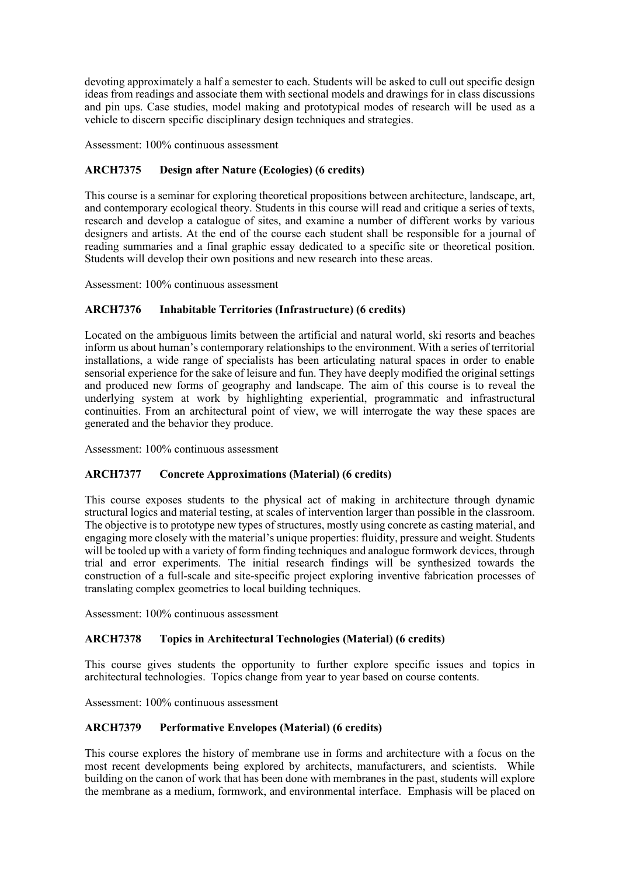devoting approximately a half a semester to each. Students will be asked to cull out specific design ideas from readings and associate them with sectional models and drawings for in class discussions and pin ups. Case studies, model making and prototypical modes of research will be used as a vehicle to discern specific disciplinary design techniques and strategies.

Assessment: 100% continuous assessment

## **ARCH7375 Design after Nature (Ecologies) (6 credits)**

 This course is a seminar for exploring theoretical propositions between architecture, landscape, art, and contemporary ecological theory. Students in this course will read and critique a series of texts, research and develop a catalogue of sites, and examine a number of different works by various designers and artists. At the end of the course each student shall be responsible for a journal of reading summaries and a final graphic essay dedicated to a specific site or theoretical position. Students will develop their own positions and new research into these areas.

Assessment: 100% continuous assessment

## **ARCH7376 Inhabitable Territories (Infrastructure) (6 credits)**

 Located on the ambiguous limits between the artificial and natural world, ski resorts and beaches inform us about human's contemporary relationships to the environment. With a series of territorial installations, a wide range of specialists has been articulating natural spaces in order to enable sensorial experience for the sake of leisure and fun. They have deeply modified the original settings and produced new forms of geography and landscape. The aim of this course is to reveal the underlying system at work by highlighting experiential, programmatic and infrastructural continuities. From an architectural point of view, we will interrogate the way these spaces are generated and the behavior they produce.

Assessment: 100% continuous assessment

## **ARCH7377 Concrete Approximations (Material) (6 credits)**

 This course exposes students to the physical act of making in architecture through dynamic structural logics and material testing, at scales of intervention larger than possible in the classroom. The objective is to prototype new types of structures, mostly using concrete as casting material, and engaging more closely with the material's unique properties: fluidity, pressure and weight. Students will be tooled up with a variety of form finding techniques and analogue formwork devices, through trial and error experiments. The initial research findings will be synthesized towards the construction of a full-scale and site-specific project exploring inventive fabrication processes of translating complex geometries to local building techniques.

Assessment: 100% continuous assessment

## **ARCH7378 Topics in Architectural Technologies (Material) (6 credits)**

 This course gives students the opportunity to further explore specific issues and topics in architectural technologies. Topics change from year to year based on course contents.

Assessment: 100% continuous assessment

## **ARCH7379 Performative Envelopes (Material) (6 credits)**

 This course explores the history of membrane use in forms and architecture with a focus on the most recent developments being explored by architects, manufacturers, and scientists. While building on the canon of work that has been done with membranes in the past, students will explore the membrane as a medium, formwork, and environmental interface. Emphasis will be placed on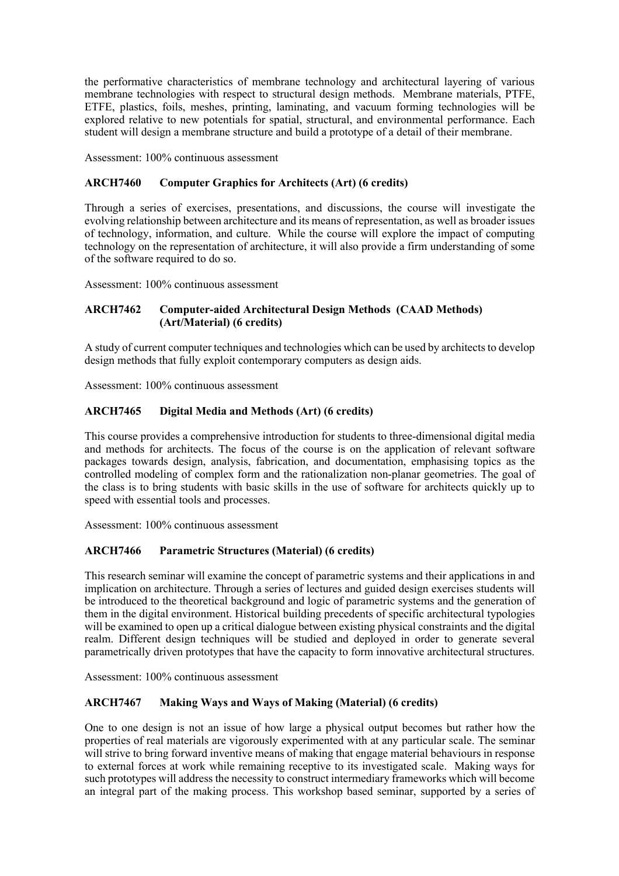the performative characteristics of membrane technology and architectural layering of various membrane technologies with respect to structural design methods. Membrane materials, PTFE, ETFE, plastics, foils, meshes, printing, laminating, and vacuum forming technologies will be explored relative to new potentials for spatial, structural, and environmental performance. Each student will design a membrane structure and build a prototype of a detail of their membrane.

Assessment: 100% continuous assessment

# **ARCH7460 Computer Graphics for Architects (Art) (6 credits)**

 Through a series of exercises, presentations, and discussions, the course will investigate the evolving relationship between architecture and its means of representation, as well as broader issues of technology, information, and culture. While the course will explore the impact of computing technology on the representation of architecture, it will also provide a firm understanding of some of the software required to do so.

Assessment: 100% continuous assessment

## **ARCH7462 Computer-aided Architectural Design Methods (CAAD Methods) (Art/Material) (6 credits)**

 A study of current computer techniques and technologies which can be used by architects to develop design methods that fully exploit contemporary computers as design aids.

Assessment: 100% continuous assessment

# **ARCH7465 Digital Media and Methods (Art) (6 credits)**

 This course provides a comprehensive introduction for students to three-dimensional digital media and methods for architects. The focus of the course is on the application of relevant software packages towards design, analysis, fabrication, and documentation, emphasising topics as the controlled modeling of complex form and the rationalization non-planar geometries. The goal of the class is to bring students with basic skills in the use of software for architects quickly up to speed with essential tools and processes.

Assessment: 100% continuous assessment

# **ARCH7466 Parametric Structures (Material) (6 credits)**

 This research seminar will examine the concept of parametric systems and their applications in and implication on architecture. Through a series of lectures and guided design exercises students will them in the digital environment. Historical building precedents of specific architectural typologies will be examined to open up a critical dialogue between existing physical constraints and the digital realm. Different design techniques will be studied and deployed in order to generate several parametrically driven prototypes that have the capacity to form innovative architectural structures. be introduced to the theoretical background and logic of parametric systems and the generation of

Assessment: 100% continuous assessment

# **ARCH7467 Making Ways and Ways of Making (Material) (6 credits)**

 One to one design is not an issue of how large a physical output becomes but rather how the properties of real materials are vigorously experimented with at any particular scale. The seminar will strive to bring forward inventive means of making that engage material behaviours in response to external forces at work while remaining receptive to its investigated scale. Making ways for such prototypes will address the necessity to construct intermediary frameworks which will become an integral part of the making process. This workshop based seminar, supported by a series of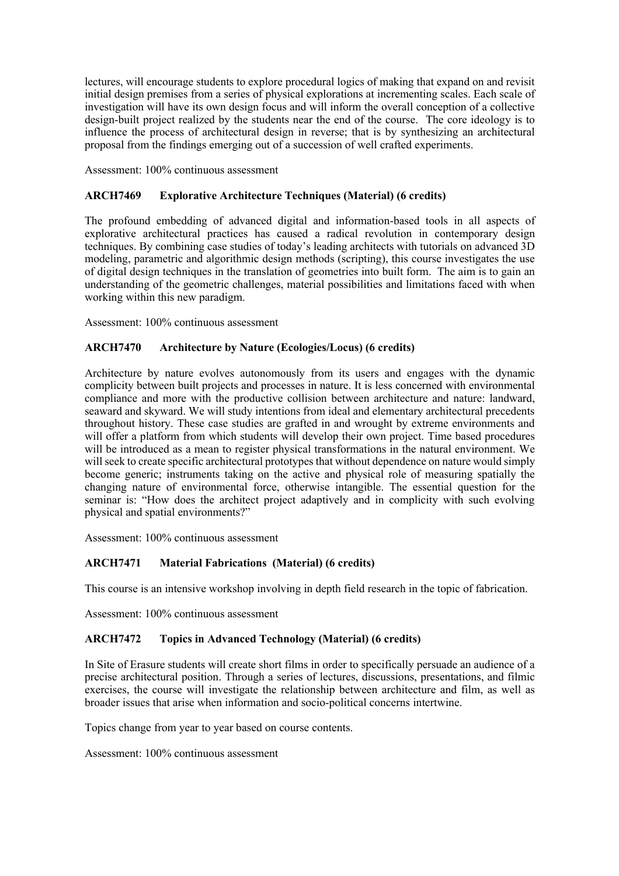lectures, will encourage students to explore procedural logics of making that expand on and revisit initial design premises from a series of physical explorations at incrementing scales. Each scale of investigation will have its own design focus and will inform the overall conception of a collective design-built project realized by the students near the end of the course. The core ideology is to influence the process of architectural design in reverse; that is by synthesizing an architectural proposal from the findings emerging out of a succession of well crafted experiments.

Assessment: 100% continuous assessment

# **ARCH7469 Explorative Architecture Techniques (Material) (6 credits)**

 The profound embedding of advanced digital and information-based tools in all aspects of explorative architectural practices has caused a radical revolution in contemporary design techniques. By combining case studies of today's leading architects with tutorials on advanced 3D modeling, parametric and algorithmic design methods (scripting), this course investigates the use of digital design techniques in the translation of geometries into built form. The aim is to gain an understanding of the geometric challenges, material possibilities and limitations faced with when working within this new paradigm.

Assessment: 100% continuous assessment

## **ARCH7470 Architecture by Nature (Ecologies/Locus) (6 credits)**

 Architecture by nature evolves autonomously from its users and engages with the dynamic complicity between built projects and processes in nature. It is less concerned with environmental compliance and more with the productive collision between architecture and nature: landward, seaward and skyward. We will study intentions from ideal and elementary architectural precedents throughout history. These case studies are grafted in and wrought by extreme environments and will offer a platform from which students will develop their own project. Time based procedures will be introduced as a mean to register physical transformations in the natural environment. We become generic; instruments taking on the active and physical role of measuring spatially the changing nature of environmental force, otherwise intangible. The essential question for the seminar is: "How does the architect project adaptively and in complicity with such evolving physical and spatial environments?" will seek to create specific architectural prototypes that without dependence on nature would simply

Assessment: 100% continuous assessment

## **ARCH7471 Material Fabrications (Material) (6 credits)**

This course is an intensive workshop involving in depth field research in the topic of fabrication.

Assessment: 100% continuous assessment

## **ARCH7472 Topics in Advanced Technology (Material) (6 credits)**

 In Site of Erasure students will create short films in order to specifically persuade an audience of a precise architectural position. Through a series of lectures, discussions, presentations, and filmic exercises, the course will investigate the relationship between architecture and film, as well as broader issues that arise when information and socio-political concerns intertwine.

Topics change from year to year based on course contents.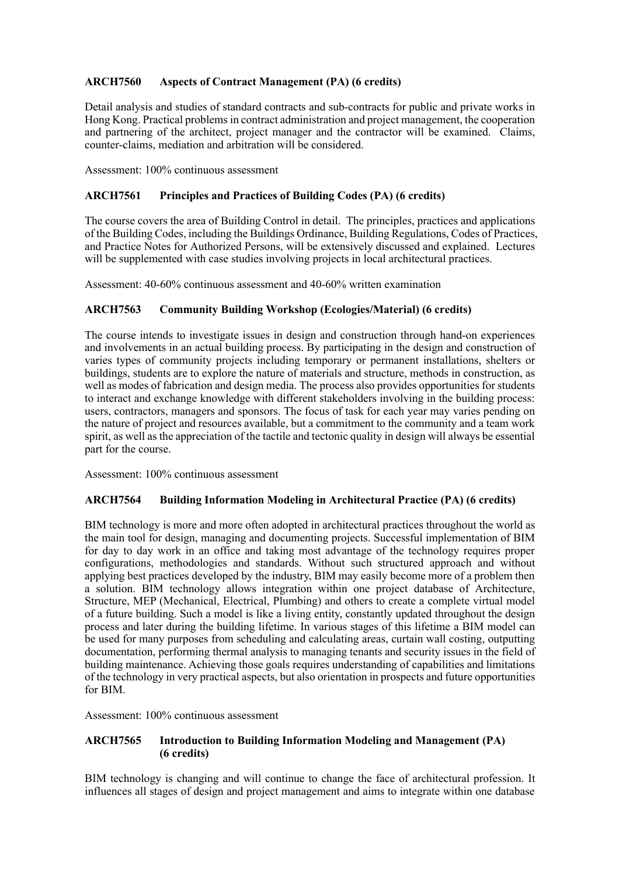# **ARCH7560 Aspects of Contract Management (PA) (6 credits)**

 Detail analysis and studies of standard contracts and sub-contracts for public and private works in Hong Kong. Practical problems in contract administration and project management, the cooperation and partnering of the architect, project manager and the contractor will be examined. Claims, counter-claims, mediation and arbitration will be considered.

Assessment: 100% continuous assessment

## **ARCH7561 Principles and Practices of Building Codes (PA) (6 credits)**

 The course covers the area of Building Control in detail. The principles, practices and applications of the Building Codes, including the Buildings Ordinance, Building Regulations, Codes of Practices, and Practice Notes for Authorized Persons, will be extensively discussed and explained. Lectures will be supplemented with case studies involving projects in local architectural practices.

Assessment: 40-60% continuous assessment and 40-60% written examination

## **ARCH7563 Community Building Workshop (Ecologies/Material) (6 credits)**

 The course intends to investigate issues in design and construction through hand-on experiences and involvements in an actual building process. By participating in the design and construction of varies types of community projects including temporary or permanent installations, shelters or well as modes of fabrication and design media. The process also provides opportunities for students to interact and exchange knowledge with different stakeholders involving in the building process: users, contractors, managers and sponsors. The focus of task for each year may varies pending on the nature of project and resources available, but a commitment to the community and a team work spirit, as well as the appreciation of the tactile and tectonic quality in design will always be essential part for the course. buildings, students are to explore the nature of materials and structure, methods in construction, as

Assessment: 100% continuous assessment

## **ARCH7564 Building Information Modeling in Architectural Practice (PA) (6 credits)**

 BIM technology is more and more often adopted in architectural practices throughout the world as the main tool for design, managing and documenting projects. Successful implementation of BIM for day to day work in an office and taking most advantage of the technology requires proper configurations, methodologies and standards. Without such structured approach and without applying best practices developed by the industry, BIM may easily become more of a problem then a solution. BIM technology allows integration within one project database of Architecture, Structure, MEP (Mechanical, Electrical, Plumbing) and others to create a complete virtual model of a future building. Such a model is like a living entity, constantly updated throughout the design process and later during the building lifetime. In various stages of this lifetime a BIM model can be used for many purposes from scheduling and calculating areas, curtain wall costing, outputting documentation, performing thermal analysis to managing tenants and security issues in the field of building maintenance. Achieving those goals requires understanding of capabilities and limitations of the technology in very practical aspects, but also orientation in prospects and future opportunities for BIM.

Assessment: 100% continuous assessment

## **ARCH7565 Introduction to Building Information Modeling and Management (PA) (6 credits)**

 BIM technology is changing and will continue to change the face of architectural profession. It influences all stages of design and project management and aims to integrate within one database